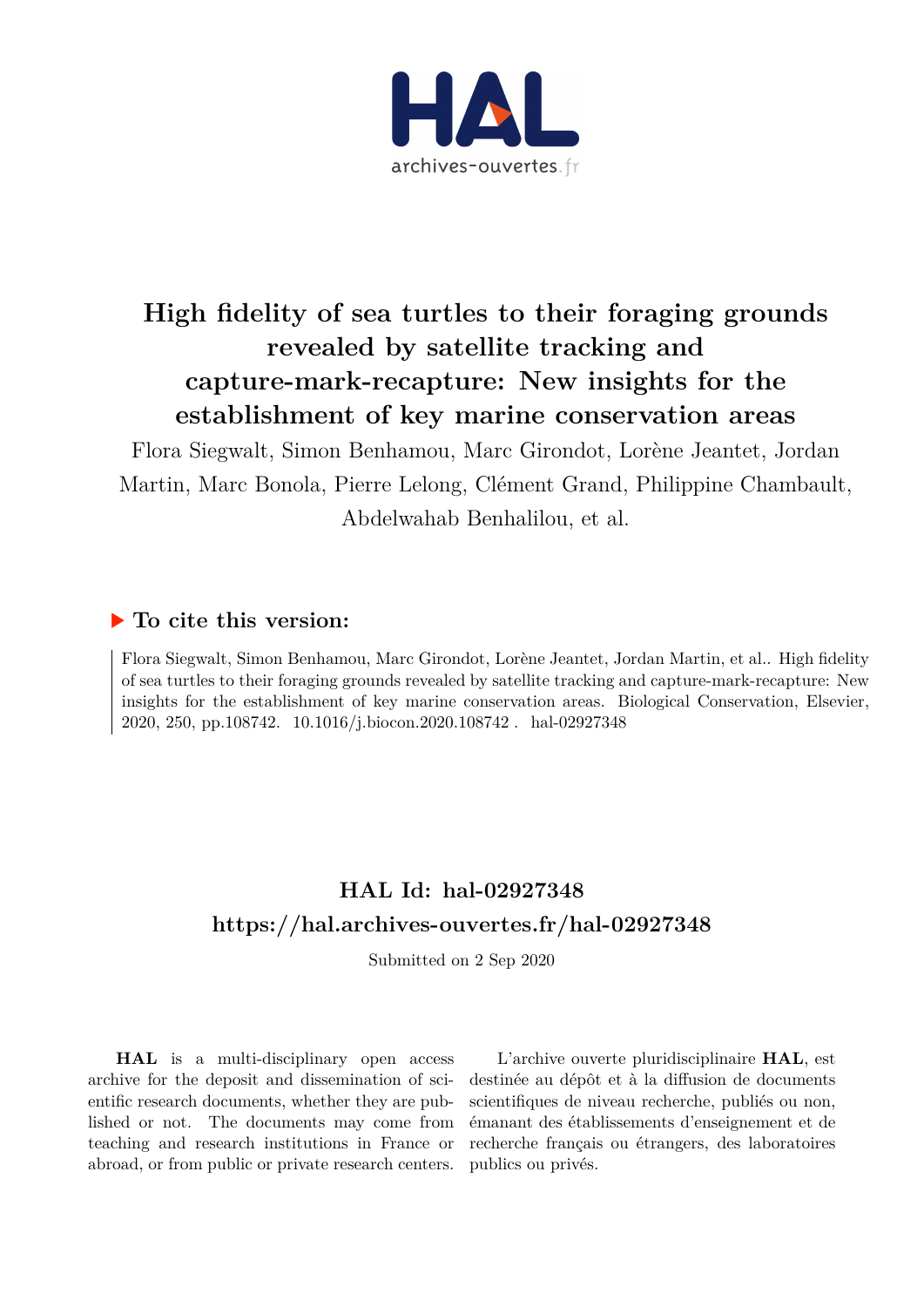

# **High fidelity of sea turtles to their foraging grounds revealed by satellite tracking and capture-mark-recapture: New insights for the establishment of key marine conservation areas**

Flora Siegwalt, Simon Benhamou, Marc Girondot, Lorène Jeantet, Jordan Martin, Marc Bonola, Pierre Lelong, Clément Grand, Philippine Chambault, Abdelwahab Benhalilou, et al.

### **To cite this version:**

Flora Siegwalt, Simon Benhamou, Marc Girondot, Lorène Jeantet, Jordan Martin, et al.. High fidelity of sea turtles to their foraging grounds revealed by satellite tracking and capture-mark-recapture: New insights for the establishment of key marine conservation areas. Biological Conservation, Elsevier, 2020, 250, pp.108742. 10.1016/j.biocon.2020.108742. hal-02927348

## **HAL Id: hal-02927348 <https://hal.archives-ouvertes.fr/hal-02927348>**

Submitted on 2 Sep 2020

**HAL** is a multi-disciplinary open access archive for the deposit and dissemination of scientific research documents, whether they are published or not. The documents may come from teaching and research institutions in France or abroad, or from public or private research centers.

L'archive ouverte pluridisciplinaire **HAL**, est destinée au dépôt et à la diffusion de documents scientifiques de niveau recherche, publiés ou non, émanant des établissements d'enseignement et de recherche français ou étrangers, des laboratoires publics ou privés.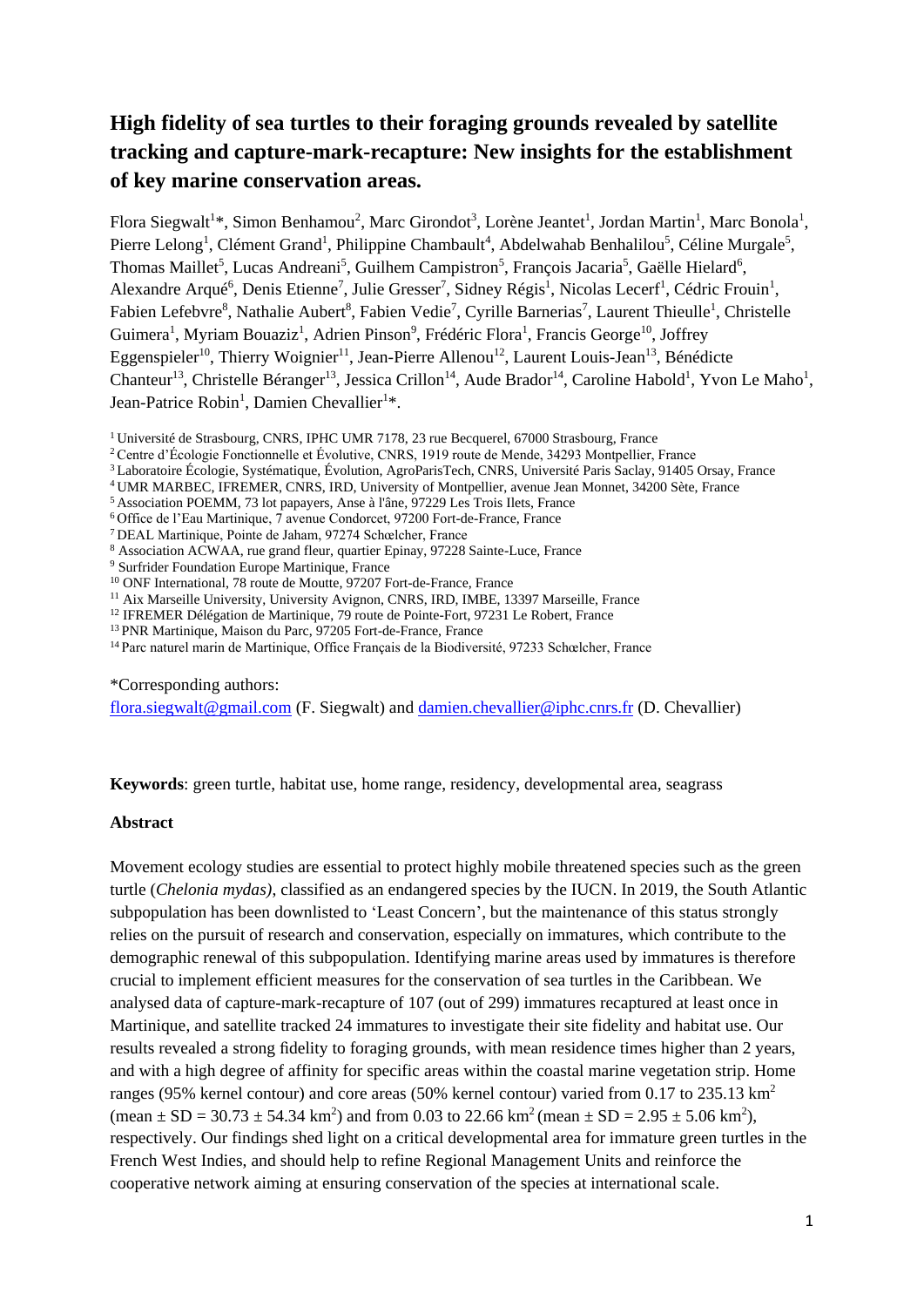### **High fidelity of sea turtles to their foraging grounds revealed by satellite tracking and capture-mark-recapture: New insights for the establishment of key marine conservation areas.**

Flora Siegwalt<sup>1\*</sup>, Simon Benhamou<sup>2</sup>, Marc Girondot<sup>3</sup>, Lorène Jeantet<sup>1</sup>, Jordan Martin<sup>1</sup>, Marc Bonola<sup>1</sup>, Pierre Lelong<sup>1</sup>, Clément Grand<sup>1</sup>, Philippine Chambault<sup>4</sup>, Abdelwahab Benhalilou<sup>5</sup>, Céline Murgale<sup>5</sup>, Thomas Maillet<sup>5</sup>, Lucas Andreani<sup>5</sup>, Guilhem Campistron<sup>5</sup>, François Jacaria<sup>5</sup>, Gaëlle Hielard<sup>6</sup>, Alexandre Arqué<sup>6</sup>, Denis Etienne<sup>7</sup>, Julie Gresser<sup>7</sup>, Sidney Régis<sup>1</sup>, Nicolas Lecerf<sup>1</sup>, Cédric Frouin<sup>1</sup>, Fabien Lefebvre<sup>8</sup>, Nathalie Aubert<sup>8</sup>, Fabien Vedie<sup>7</sup>, Cyrille Barnerias<sup>7</sup>, Laurent Thieulle<sup>1</sup>, Christelle Guimera<sup>1</sup>, Myriam Bouaziz<sup>1</sup>, Adrien Pinson<sup>9</sup>, Frédéric Flora<sup>1</sup>, Francis George<sup>10</sup>, Joffrey Eggenspieler<sup>10</sup>, Thierry Woignier<sup>11</sup>, Jean-Pierre Allenou<sup>12</sup>, Laurent Louis-Jean<sup>13</sup>, Bénédicte Chanteur<sup>13</sup>, Christelle Béranger<sup>13</sup>, Jessica Crillon<sup>14</sup>, Aude Brador<sup>14</sup>, Caroline Habold<sup>1</sup>, Yvon Le Maho<sup>1</sup>, Jean-Patrice Robin<sup>1</sup>, Damien Chevallier<sup>1\*</sup>.

<sup>1</sup> Université de Strasbourg, CNRS, IPHC UMR 7178, 23 rue Becquerel, 67000 Strasbourg, France

<sup>2</sup>Centre d'Écologie Fonctionnelle et Évolutive, CNRS, 1919 route de Mende, 34293 Montpellier, France

<sup>3</sup>Laboratoire Écologie, Systématique, Évolution, AgroParisTech, CNRS, Université Paris Saclay, 91405 Orsay, France

<sup>4</sup>UMR MARBEC, IFREMER, CNRS, IRD, University of Montpellier, avenue Jean Monnet, 34200 Sète, France

<sup>5</sup> Association POEMM, 73 lot papayers, Anse à l'âne, 97229 Les Trois Ilets, France

<sup>6</sup>Office de l'Eau Martinique, 7 avenue Condorcet, 97200 Fort-de-France, France

<sup>7</sup>DEAL Martinique, Pointe de Jaham, 97274 Schœlcher, France

<sup>8</sup> Association ACWAA, rue grand fleur, quartier Epinay, 97228 Sainte-Luce, France

<sup>9</sup> Surfrider Foundation Europe Martinique, France

<sup>11</sup> Aix Marseille University, University Avignon, CNRS, IRD, IMBE, 13397 Marseille, France

<sup>12</sup> IFREMER Délégation de Martinique, 79 route de Pointe-Fort, 97231 Le Robert, France

<sup>13</sup>PNR Martinique, Maison du Parc, 97205 Fort-de-France, France

<sup>14</sup> Parc naturel marin de Martinique, Office Français de la Biodiversité, 97233 Schœlcher, France

\*Corresponding authors:

[flora.siegwalt@gmail.com](mailto:flora.siegwalt@gmail.com) (F. Siegwalt) and [damien.chevallier@iphc.cnrs.fr](mailto:damien.chevallier@iphc.cnrs.fr) (D. Chevallier)

**Keywords**: green turtle, habitat use, home range, residency, developmental area, seagrass

#### **Abstract**

Movement ecology studies are essential to protect highly mobile threatened species such as the green turtle (*Chelonia mydas)*, classified as an endangered species by the IUCN. In 2019, the South Atlantic subpopulation has been downlisted to 'Least Concern', but the maintenance of this status strongly relies on the pursuit of research and conservation, especially on immatures, which contribute to the demographic renewal of this subpopulation. Identifying marine areas used by immatures is therefore crucial to implement efficient measures for the conservation of sea turtles in the Caribbean. We analysed data of capture-mark-recapture of 107 (out of 299) immatures recaptured at least once in Martinique, and satellite tracked 24 immatures to investigate their site fidelity and habitat use. Our results revealed a strong fidelity to foraging grounds, with mean residence times higher than 2 years, and with a high degree of affinity for specific areas within the coastal marine vegetation strip. Home ranges (95% kernel contour) and core areas (50% kernel contour) varied from 0.17 to 235.13 km<sup>2</sup> (mean  $\pm$  SD = 30.73  $\pm$  54.34 km<sup>2</sup>) and from 0.03 to 22.66 km<sup>2</sup> (mean  $\pm$  SD = 2.95  $\pm$  5.06 km<sup>2</sup>), respectively. Our findings shed light on a critical developmental area for immature green turtles in the French West Indies, and should help to refine Regional Management Units and reinforce the cooperative network aiming at ensuring conservation of the species at international scale.

<sup>&</sup>lt;sup>10</sup> ONF International, 78 route de Moutte, 97207 Fort-de-France, France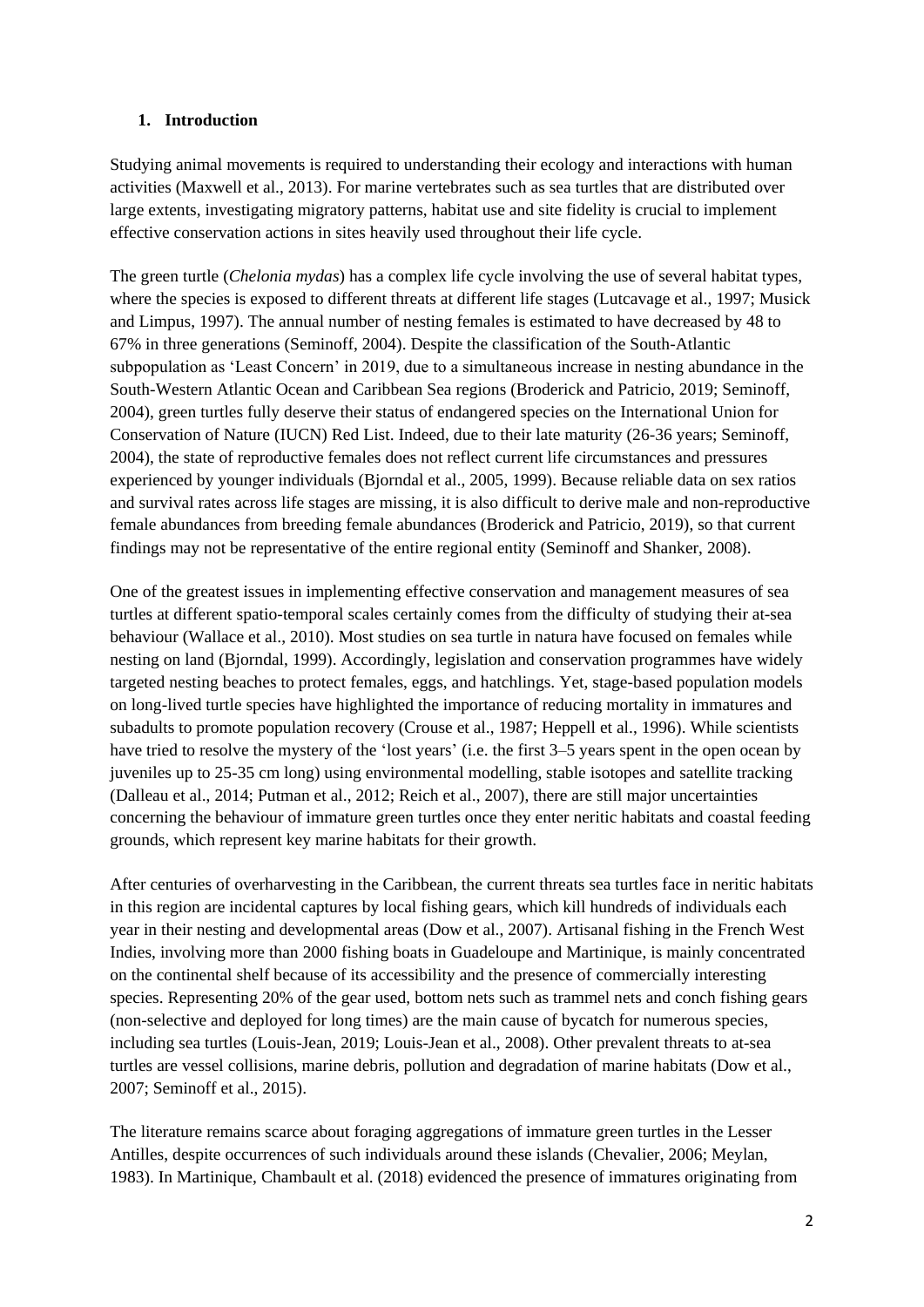#### **1. Introduction**

Studying animal movements is required to understanding their ecology and interactions with human activities (Maxwell et al., 2013). For marine vertebrates such as sea turtles that are distributed over large extents, investigating migratory patterns, habitat use and site fidelity is crucial to implement effective conservation actions in sites heavily used throughout their life cycle.

The green turtle (*Chelonia mydas*) has a complex life cycle involving the use of several habitat types, where the species is exposed to different threats at different life stages (Lutcavage et al., 1997; Musick and Limpus, 1997). The annual number of nesting females is estimated to have decreased by 48 to 67% in three generations (Seminoff, 2004). Despite the classification of the South-Atlantic subpopulation as 'Least Concern' in 2019, due to a simultaneous increase in nesting abundance in the South-Western Atlantic Ocean and Caribbean Sea regions (Broderick and Patricio, 2019; Seminoff, 2004), green turtles fully deserve their status of endangered species on the International Union for Conservation of Nature (IUCN) Red List. Indeed, due to their late maturity (26-36 years; Seminoff, 2004), the state of reproductive females does not reflect current life circumstances and pressures experienced by younger individuals (Bjorndal et al., 2005, 1999). Because reliable data on sex ratios and survival rates across life stages are missing, it is also difficult to derive male and non-reproductive female abundances from breeding female abundances (Broderick and Patricio, 2019), so that current findings may not be representative of the entire regional entity (Seminoff and Shanker, 2008).

One of the greatest issues in implementing effective conservation and management measures of sea turtles at different spatio-temporal scales certainly comes from the difficulty of studying their at-sea behaviour (Wallace et al., 2010). Most studies on sea turtle in natura have focused on females while nesting on land (Bjorndal, 1999). Accordingly, legislation and conservation programmes have widely targeted nesting beaches to protect females, eggs, and hatchlings. Yet, stage-based population models on long-lived turtle species have highlighted the importance of reducing mortality in immatures and subadults to promote population recovery (Crouse et al., 1987; Heppell et al., 1996). While scientists have tried to resolve the mystery of the 'lost years' (i.e. the first 3–5 years spent in the open ocean by juveniles up to 25-35 cm long) using environmental modelling, stable isotopes and satellite tracking (Dalleau et al., 2014; Putman et al., 2012; Reich et al., 2007), there are still major uncertainties concerning the behaviour of immature green turtles once they enter neritic habitats and coastal feeding grounds, which represent key marine habitats for their growth.

After centuries of overharvesting in the Caribbean, the current threats sea turtles face in neritic habitats in this region are incidental captures by local fishing gears, which kill hundreds of individuals each year in their nesting and developmental areas (Dow et al., 2007). Artisanal fishing in the French West Indies, involving more than 2000 fishing boats in Guadeloupe and Martinique, is mainly concentrated on the continental shelf because of its accessibility and the presence of commercially interesting species. Representing 20% of the gear used, bottom nets such as trammel nets and conch fishing gears (non-selective and deployed for long times) are the main cause of bycatch for numerous species, including sea turtles (Louis-Jean, 2019; Louis-Jean et al., 2008). Other prevalent threats to at-sea turtles are vessel collisions, marine debris, pollution and degradation of marine habitats (Dow et al., 2007; Seminoff et al., 2015).

The literature remains scarce about foraging aggregations of immature green turtles in the Lesser Antilles, despite occurrences of such individuals around these islands (Chevalier, 2006; Meylan, 1983). In Martinique, Chambault et al. (2018) evidenced the presence of immatures originating from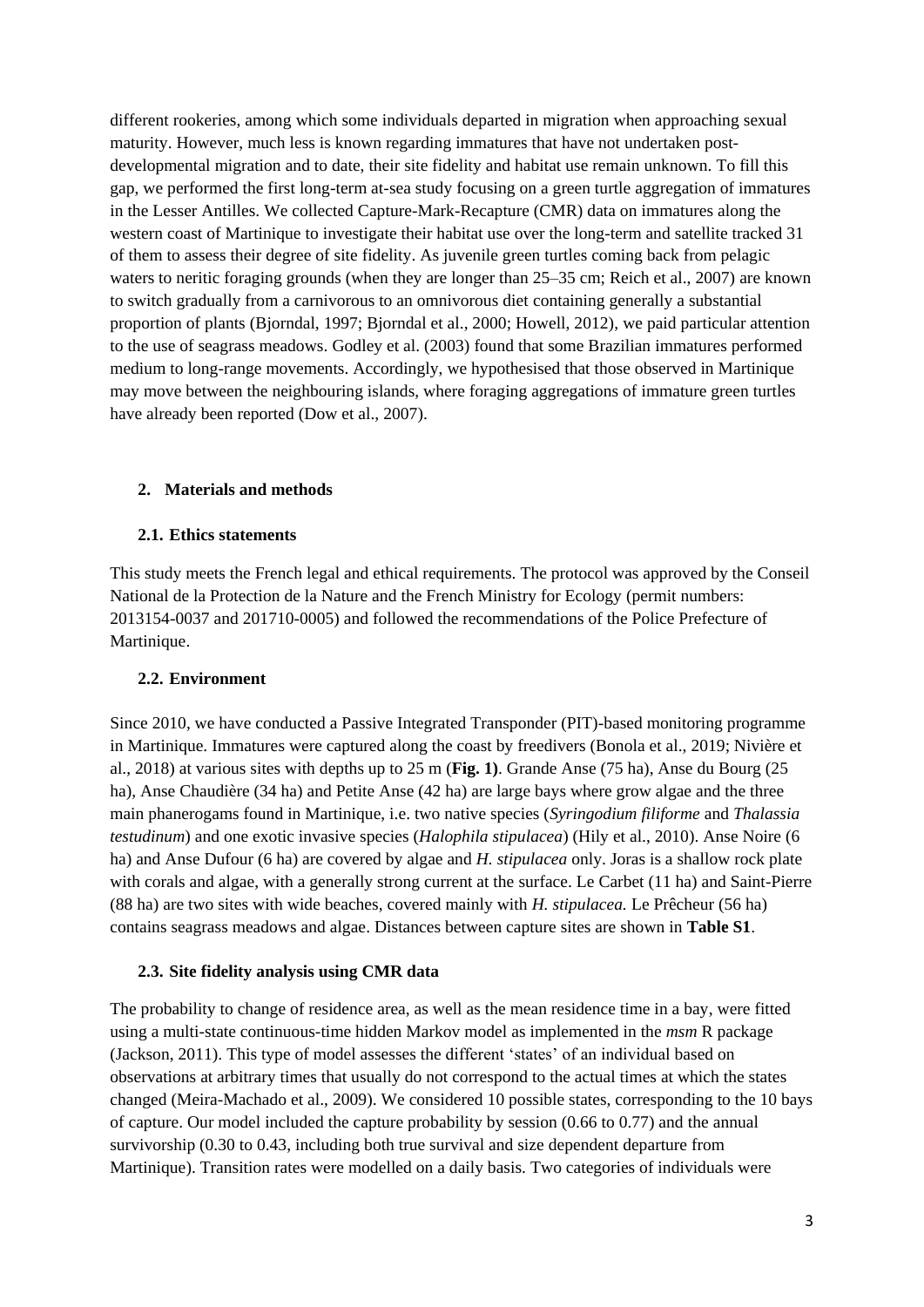different rookeries, among which some individuals departed in migration when approaching sexual maturity. However, much less is known regarding immatures that have not undertaken postdevelopmental migration and to date, their site fidelity and habitat use remain unknown. To fill this gap, we performed the first long-term at-sea study focusing on a green turtle aggregation of immatures in the Lesser Antilles. We collected Capture-Mark-Recapture (CMR) data on immatures along the western coast of Martinique to investigate their habitat use over the long-term and satellite tracked 31 of them to assess their degree of site fidelity. As juvenile green turtles coming back from pelagic waters to neritic foraging grounds (when they are longer than 25–35 cm; Reich et al., 2007) are known to switch gradually from a carnivorous to an omnivorous diet containing generally a substantial proportion of plants (Bjorndal, 1997; Bjorndal et al., 2000; Howell, 2012), we paid particular attention to the use of seagrass meadows. Godley et al. (2003) found that some Brazilian immatures performed medium to long-range movements. Accordingly, we hypothesised that those observed in Martinique may move between the neighbouring islands, where foraging aggregations of immature green turtles have already been reported (Dow et al., 2007).

#### **2. Materials and methods**

#### **2.1. Ethics statements**

This study meets the French legal and ethical requirements. The protocol was approved by the Conseil National de la Protection de la Nature and the French Ministry for Ecology (permit numbers: 2013154-0037 and 201710-0005) and followed the recommendations of the Police Prefecture of Martinique.

#### **2.2. Environment**

Since 2010, we have conducted a Passive Integrated Transponder (PIT)-based monitoring programme in Martinique. Immatures were captured along the coast by freedivers (Bonola et al., 2019; Nivière et al., 2018) at various sites with depths up to 25 m (**Fig. 1)**. Grande Anse (75 ha), Anse du Bourg (25 ha), Anse Chaudière (34 ha) and Petite Anse (42 ha) are large bays where grow algae and the three main phanerogams found in Martinique, i.e. two native species (*Syringodium filiforme* and *Thalassia testudinum*) and one exotic invasive species (*Halophila stipulacea*) (Hily et al., 2010). Anse Noire (6 ha) and Anse Dufour (6 ha) are covered by algae and *H. stipulacea* only. Joras is a shallow rock plate with corals and algae, with a generally strong current at the surface. Le Carbet (11 ha) and Saint-Pierre (88 ha) are two sites with wide beaches, covered mainly with *H. stipulacea.* Le Prêcheur (56 ha) contains seagrass meadows and algae. Distances between capture sites are shown in **Table S1**.

#### **2.3. Site fidelity analysis using CMR data**

The probability to change of residence area, as well as the mean residence time in a bay, were fitted using a multi-state continuous-time hidden Markov model as implemented in the *msm* R package (Jackson, 2011). This type of model assesses the different 'states' of an individual based on observations at arbitrary times that usually do not correspond to the actual times at which the states changed (Meira-Machado et al., 2009). We considered 10 possible states, corresponding to the 10 bays of capture. Our model included the capture probability by session (0.66 to 0.77) and the annual survivorship (0.30 to 0.43, including both true survival and size dependent departure from Martinique). Transition rates were modelled on a daily basis. Two categories of individuals were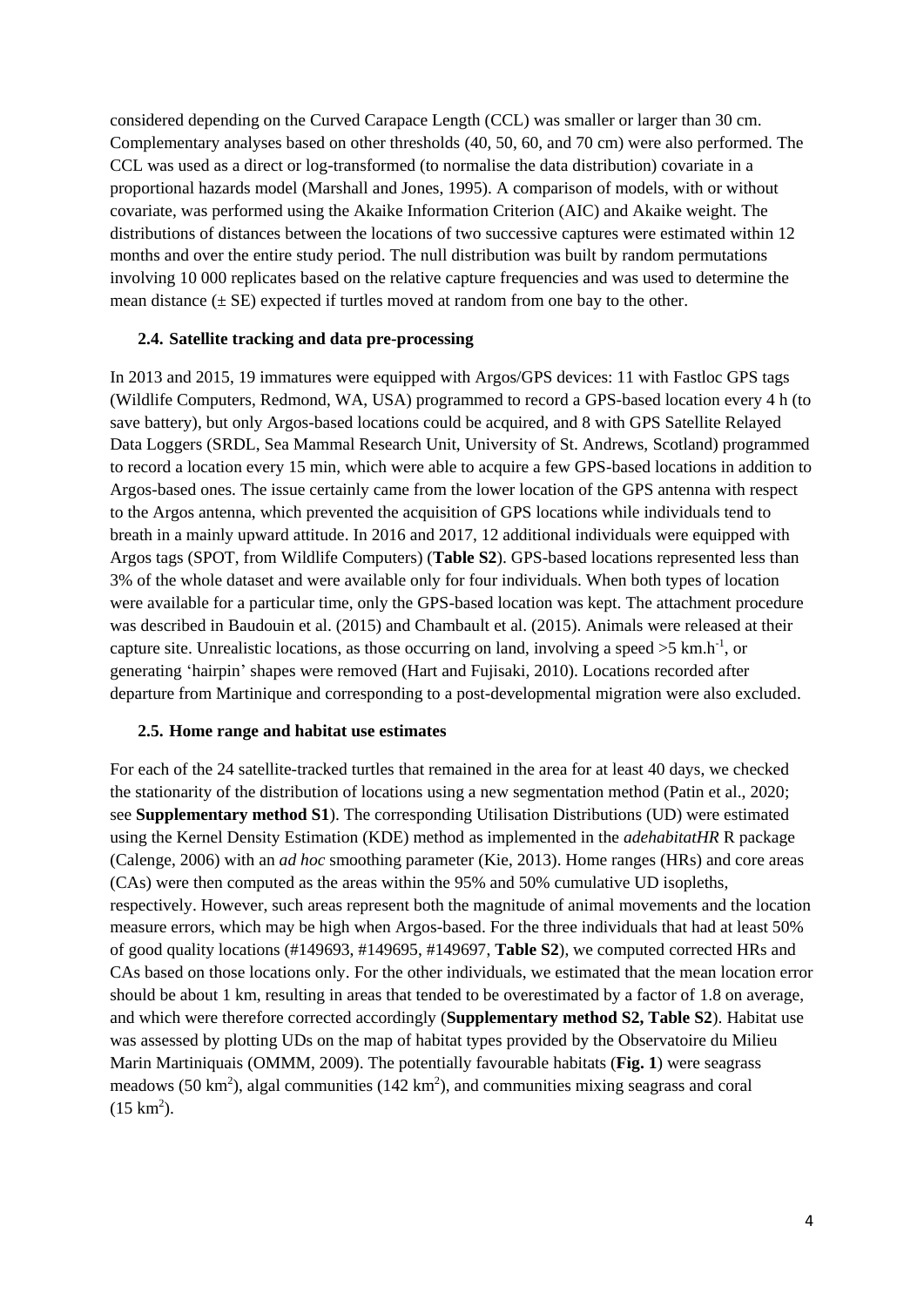considered depending on the Curved Carapace Length (CCL) was smaller or larger than 30 cm. Complementary analyses based on other thresholds (40, 50, 60, and 70 cm) were also performed. The CCL was used as a direct or log-transformed (to normalise the data distribution) covariate in a proportional hazards model (Marshall and Jones, 1995). A comparison of models, with or without covariate, was performed using the Akaike Information Criterion (AIC) and Akaike weight. The distributions of distances between the locations of two successive captures were estimated within 12 months and over the entire study period. The null distribution was built by random permutations involving 10 000 replicates based on the relative capture frequencies and was used to determine the mean distance  $(\pm SE)$  expected if turtles moved at random from one bay to the other.

#### **2.4. Satellite tracking and data pre-processing**

In 2013 and 2015, 19 immatures were equipped with Argos/GPS devices: 11 with Fastloc GPS tags (Wildlife Computers, Redmond, WA, USA) programmed to record a GPS-based location every 4 h (to save battery), but only Argos-based locations could be acquired, and 8 with GPS Satellite Relayed Data Loggers (SRDL, Sea Mammal Research Unit, University of St. Andrews, Scotland) programmed to record a location every 15 min, which were able to acquire a few GPS-based locations in addition to Argos-based ones. The issue certainly came from the lower location of the GPS antenna with respect to the Argos antenna, which prevented the acquisition of GPS locations while individuals tend to breath in a mainly upward attitude. In 2016 and 2017, 12 additional individuals were equipped with Argos tags (SPOT, from Wildlife Computers) (**Table S2**). GPS-based locations represented less than 3% of the whole dataset and were available only for four individuals. When both types of location were available for a particular time, only the GPS-based location was kept. The attachment procedure was described in Baudouin et al. (2015) and Chambault et al. (2015). Animals were released at their capture site. Unrealistic locations, as those occurring on land, involving a speed  $>5$  km.h<sup>-1</sup>, or generating 'hairpin' shapes were removed (Hart and Fujisaki, 2010). Locations recorded after departure from Martinique and corresponding to a post-developmental migration were also excluded.

#### **2.5. Home range and habitat use estimates**

For each of the 24 satellite-tracked turtles that remained in the area for at least 40 days, we checked the stationarity of the distribution of locations using a new segmentation method (Patin et al., 2020; see **Supplementary method S1**). The corresponding Utilisation Distributions (UD) were estimated using the Kernel Density Estimation (KDE) method as implemented in the *adehabitatHR* R package (Calenge, 2006) with an *ad hoc* smoothing parameter (Kie, 2013). Home ranges (HRs) and core areas (CAs) were then computed as the areas within the 95% and 50% cumulative UD isopleths, respectively. However, such areas represent both the magnitude of animal movements and the location measure errors, which may be high when Argos-based. For the three individuals that had at least 50% of good quality locations (#149693, #149695, #149697, **Table S2**), we computed corrected HRs and CAs based on those locations only. For the other individuals, we estimated that the mean location error should be about 1 km, resulting in areas that tended to be overestimated by a factor of 1.8 on average, and which were therefore corrected accordingly (**Supplementary method S2, Table S2**). Habitat use was assessed by plotting UDs on the map of habitat types provided by the Observatoire du Milieu Marin Martiniquais (OMMM, 2009). The potentially favourable habitats (**Fig. 1**) were seagrass meadows (50 km<sup>2</sup>), algal communities (142 km<sup>2</sup>), and communities mixing seagrass and coral  $(15 \text{ km}^2)$ .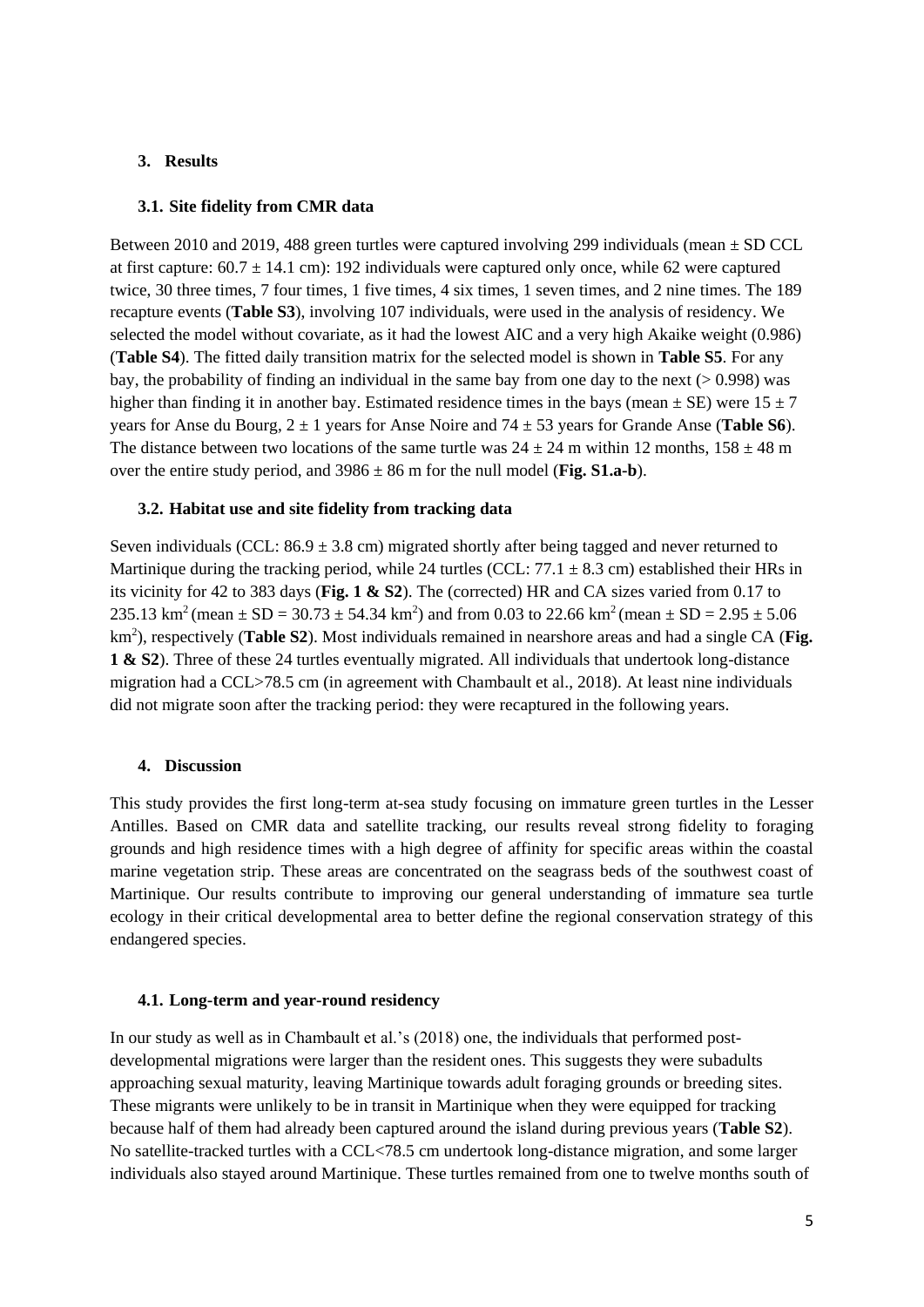#### **3. Results**

#### **3.1. Site fidelity from CMR data**

Between 2010 and 2019, 488 green turtles were captured involving 299 individuals (mean  $\pm$  SD CCL at first capture:  $60.7 \pm 14.1$  cm): 192 individuals were captured only once, while 62 were captured twice, 30 three times, 7 four times, 1 five times, 4 six times, 1 seven times, and 2 nine times. The 189 recapture events (**Table S3**), involving 107 individuals, were used in the analysis of residency. We selected the model without covariate, as it had the lowest AIC and a very high Akaike weight (0.986) (**Table S4**). The fitted daily transition matrix for the selected model is shown in **Table S5**. For any bay, the probability of finding an individual in the same bay from one day to the next (> 0.998) was higher than finding it in another bay. Estimated residence times in the bays (mean  $\pm$  SE) were 15  $\pm$  7 years for Anse du Bourg, 2 ± 1 years for Anse Noire and 74 ± 53 years for Grande Anse (**Table S6**). The distance between two locations of the same turtle was  $24 \pm 24$  m within 12 months,  $158 \pm 48$  m over the entire study period, and  $3986 \pm 86$  m for the null model (**Fig. S1.a-b**).

#### **3.2. Habitat use and site fidelity from tracking data**

Seven individuals (CCL:  $86.9 \pm 3.8$  cm) migrated shortly after being tagged and never returned to Martinique during the tracking period, while 24 turtles (CCL:  $77.1 \pm 8.3$  cm) established their HRs in its vicinity for 42 to 383 days (**Fig. 1 & S2**). The (corrected) HR and CA sizes varied from 0.17 to 235.13 km<sup>2</sup> (mean  $\pm$  SD = 30.73  $\pm$  54.34 km<sup>2</sup>) and from 0.03 to 22.66 km<sup>2</sup> (mean  $\pm$  SD = 2.95  $\pm$  5.06 km<sup>2</sup>), respectively (Table S2). Most individuals remained in nearshore areas and had a single CA (Fig. **1 & S2**). Three of these 24 turtles eventually migrated. All individuals that undertook long-distance migration had a CCL>78.5 cm (in agreement with Chambault et al., 2018). At least nine individuals did not migrate soon after the tracking period: they were recaptured in the following years.

#### **4. Discussion**

This study provides the first long-term at-sea study focusing on immature green turtles in the Lesser Antilles. Based on CMR data and satellite tracking, our results reveal strong fidelity to foraging grounds and high residence times with a high degree of affinity for specific areas within the coastal marine vegetation strip. These areas are concentrated on the seagrass beds of the southwest coast of Martinique. Our results contribute to improving our general understanding of immature sea turtle ecology in their critical developmental area to better define the regional conservation strategy of this endangered species.

#### **4.1. Long-term and year-round residency**

In our study as well as in Chambault et al.'s (2018) one, the individuals that performed postdevelopmental migrations were larger than the resident ones. This suggests they were subadults approaching sexual maturity, leaving Martinique towards adult foraging grounds or breeding sites. These migrants were unlikely to be in transit in Martinique when they were equipped for tracking because half of them had already been captured around the island during previous years (**Table S2**). No satellite-tracked turtles with a CCL<78.5 cm undertook long-distance migration, and some larger individuals also stayed around Martinique. These turtles remained from one to twelve months south of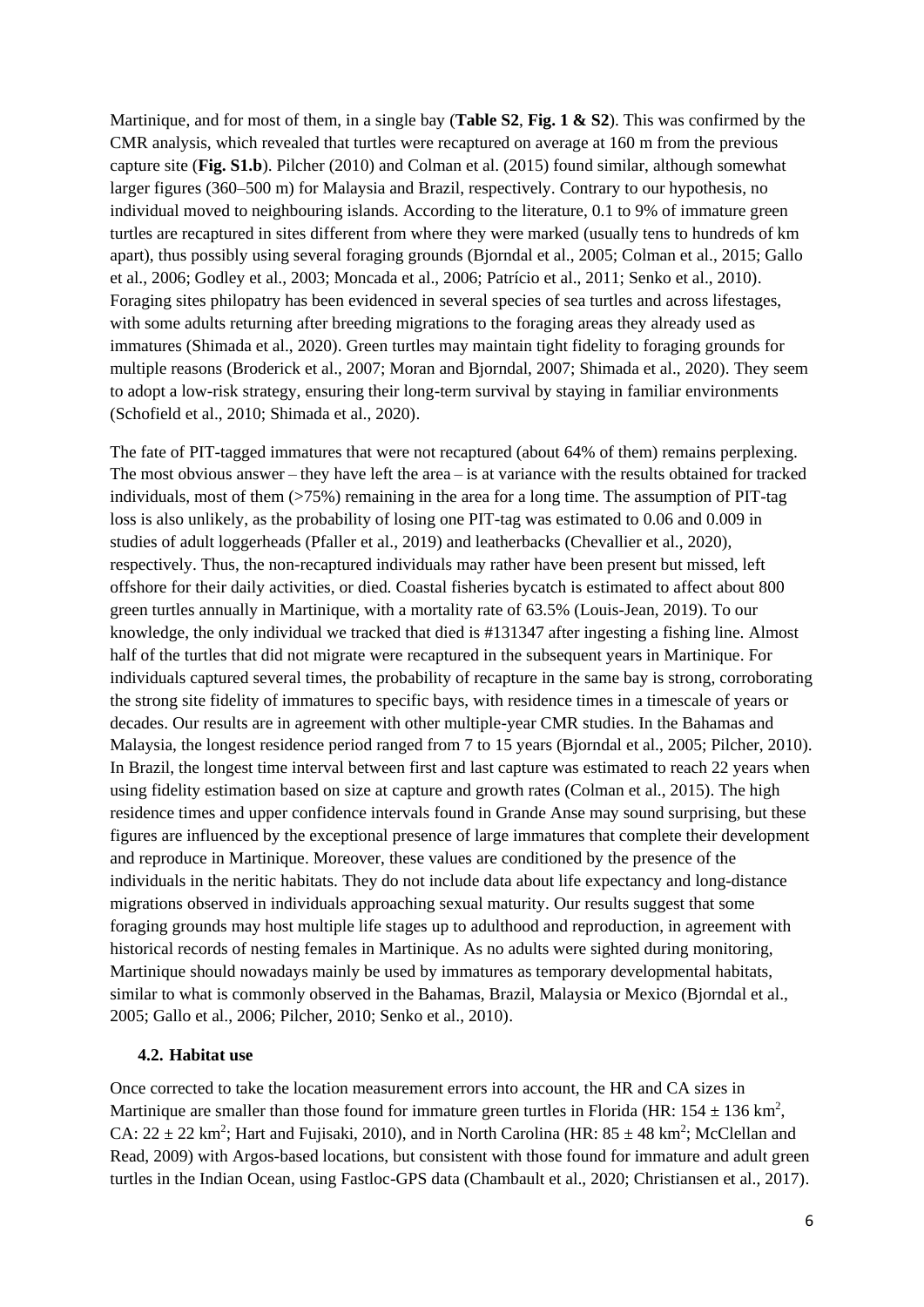Martinique, and for most of them, in a single bay (**Table S2**, **Fig. 1 & S2**). This was confirmed by the CMR analysis, which revealed that turtles were recaptured on average at 160 m from the previous capture site (**Fig. S1.b**). Pilcher (2010) and Colman et al. (2015) found similar, although somewhat larger figures (360–500 m) for Malaysia and Brazil, respectively. Contrary to our hypothesis, no individual moved to neighbouring islands. According to the literature, 0.1 to 9% of immature green turtles are recaptured in sites different from where they were marked (usually tens to hundreds of km apart), thus possibly using several foraging grounds (Bjorndal et al., 2005; Colman et al., 2015; Gallo et al., 2006; Godley et al., 2003; Moncada et al., 2006; Patrício et al., 2011; Senko et al., 2010). Foraging sites philopatry has been evidenced in several species of sea turtles and across lifestages, with some adults returning after breeding migrations to the foraging areas they already used as immatures (Shimada et al., 2020). Green turtles may maintain tight fidelity to foraging grounds for multiple reasons (Broderick et al., 2007; Moran and Bjorndal, 2007; Shimada et al., 2020). They seem to adopt a low-risk strategy, ensuring their long-term survival by staying in familiar environments (Schofield et al., 2010; Shimada et al., 2020).

The fate of PIT-tagged immatures that were not recaptured (about 64% of them) remains perplexing. The most obvious answer – they have left the area – is at variance with the results obtained for tracked individuals, most of them  $($ >75%) remaining in the area for a long time. The assumption of PIT-tag loss is also unlikely, as the probability of losing one PIT-tag was estimated to 0.06 and 0.009 in studies of adult loggerheads (Pfaller et al., 2019) and leatherbacks (Chevallier et al., 2020), respectively. Thus, the non-recaptured individuals may rather have been present but missed, left offshore for their daily activities, or died. Coastal fisheries bycatch is estimated to affect about 800 green turtles annually in Martinique, with a mortality rate of 63.5% (Louis-Jean, 2019). To our knowledge, the only individual we tracked that died is #131347 after ingesting a fishing line. Almost half of the turtles that did not migrate were recaptured in the subsequent years in Martinique. For individuals captured several times, the probability of recapture in the same bay is strong, corroborating the strong site fidelity of immatures to specific bays, with residence times in a timescale of years or decades. Our results are in agreement with other multiple-year CMR studies. In the Bahamas and Malaysia, the longest residence period ranged from 7 to 15 years (Bjorndal et al., 2005; Pilcher, 2010). In Brazil, the longest time interval between first and last capture was estimated to reach 22 years when using fidelity estimation based on size at capture and growth rates (Colman et al., 2015). The high residence times and upper confidence intervals found in Grande Anse may sound surprising, but these figures are influenced by the exceptional presence of large immatures that complete their development and reproduce in Martinique. Moreover, these values are conditioned by the presence of the individuals in the neritic habitats. They do not include data about life expectancy and long-distance migrations observed in individuals approaching sexual maturity. Our results suggest that some foraging grounds may host multiple life stages up to adulthood and reproduction, in agreement with historical records of nesting females in Martinique. As no adults were sighted during monitoring, Martinique should nowadays mainly be used by immatures as temporary developmental habitats, similar to what is commonly observed in the Bahamas, Brazil, Malaysia or Mexico (Bjorndal et al., 2005; Gallo et al., 2006; Pilcher, 2010; Senko et al., 2010).

#### **4.2. Habitat use**

Once corrected to take the location measurement errors into account, the HR and CA sizes in Martinique are smaller than those found for immature green turtles in Florida (HR:  $154 \pm 136$  km<sup>2</sup>, CA:  $22 \pm 22$  km<sup>2</sup>; Hart and Fujisaki, 2010), and in North Carolina (HR:  $85 \pm 48$  km<sup>2</sup>; McClellan and Read, 2009) with Argos-based locations, but consistent with those found for immature and adult green turtles in the Indian Ocean, using Fastloc-GPS data (Chambault et al., 2020; Christiansen et al., 2017).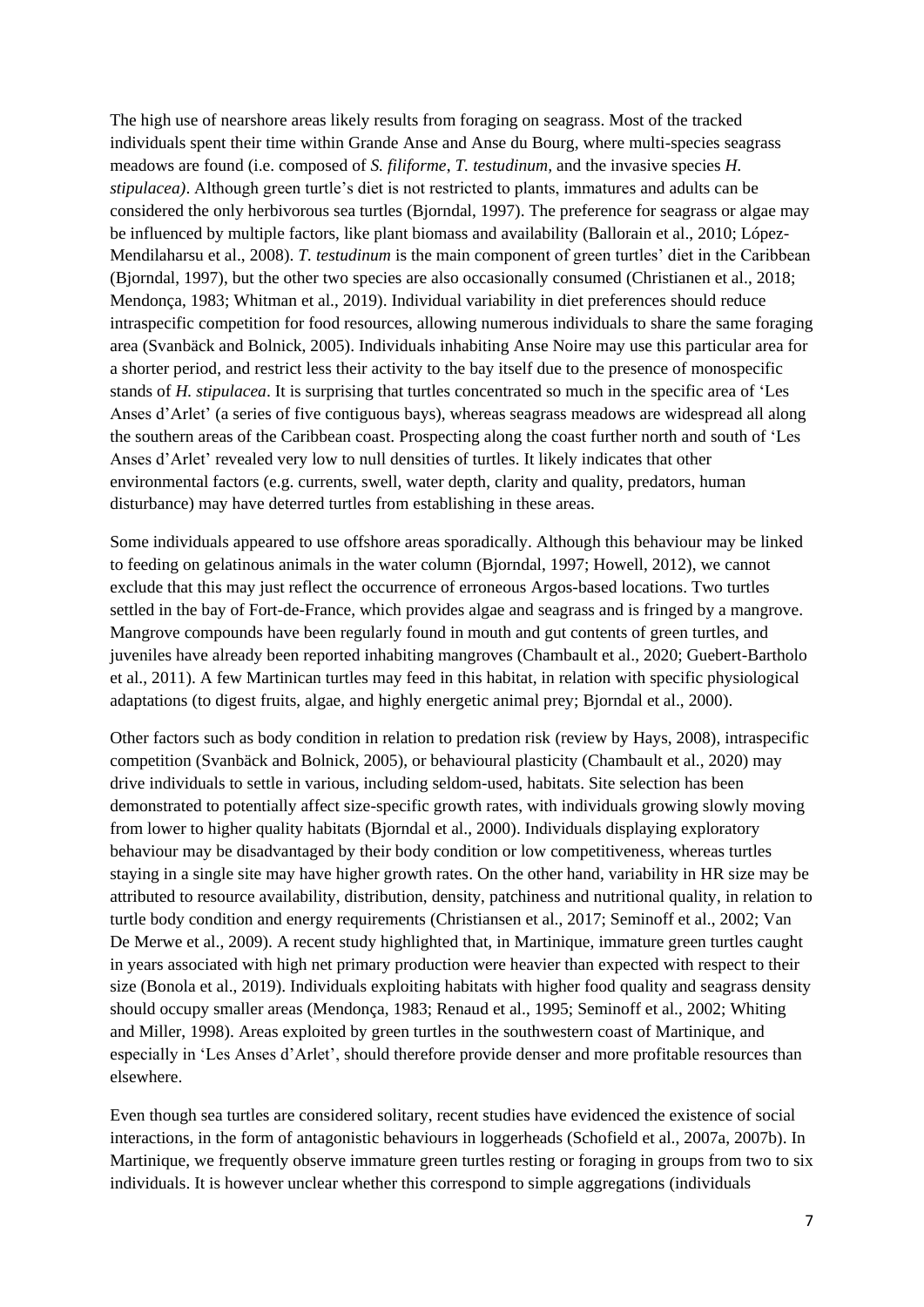The high use of nearshore areas likely results from foraging on seagrass. Most of the tracked individuals spent their time within Grande Anse and Anse du Bourg, where multi-species seagrass meadows are found (i.e. composed of *S. filiforme*, *T. testudinum,* and the invasive species *H. stipulacea)*. Although green turtle's diet is not restricted to plants, immatures and adults can be considered the only herbivorous sea turtles (Bjorndal, 1997). The preference for seagrass or algae may be influenced by multiple factors, like plant biomass and availability (Ballorain et al., 2010; López-Mendilaharsu et al., 2008). *T. testudinum* is the main component of green turtles' diet in the Caribbean (Bjorndal, 1997), but the other two species are also occasionally consumed (Christianen et al., 2018; Mendonça, 1983; Whitman et al., 2019). Individual variability in diet preferences should reduce intraspecific competition for food resources, allowing numerous individuals to share the same foraging area (Svanbäck and Bolnick, 2005). Individuals inhabiting Anse Noire may use this particular area for a shorter period, and restrict less their activity to the bay itself due to the presence of monospecific stands of *H. stipulacea*. It is surprising that turtles concentrated so much in the specific area of 'Les Anses d'Arlet' (a series of five contiguous bays), whereas seagrass meadows are widespread all along the southern areas of the Caribbean coast. Prospecting along the coast further north and south of 'Les Anses d'Arlet' revealed very low to null densities of turtles. It likely indicates that other environmental factors (e.g. currents, swell, water depth, clarity and quality, predators, human disturbance) may have deterred turtles from establishing in these areas.

Some individuals appeared to use offshore areas sporadically. Although this behaviour may be linked to feeding on gelatinous animals in the water column (Bjorndal, 1997; Howell, 2012), we cannot exclude that this may just reflect the occurrence of erroneous Argos-based locations. Two turtles settled in the bay of Fort-de-France, which provides algae and seagrass and is fringed by a mangrove. Mangrove compounds have been regularly found in mouth and gut contents of green turtles, and juveniles have already been reported inhabiting mangroves (Chambault et al., 2020; Guebert-Bartholo et al., 2011). A few Martinican turtles may feed in this habitat, in relation with specific physiological adaptations (to digest fruits, algae, and highly energetic animal prey; Bjorndal et al., 2000).

Other factors such as body condition in relation to predation risk (review by Hays, 2008), intraspecific competition (Svanbäck and Bolnick, 2005), or behavioural plasticity (Chambault et al., 2020) may drive individuals to settle in various, including seldom-used, habitats. Site selection has been demonstrated to potentially affect size-specific growth rates, with individuals growing slowly moving from lower to higher quality habitats (Bjorndal et al., 2000). Individuals displaying exploratory behaviour may be disadvantaged by their body condition or low competitiveness, whereas turtles staying in a single site may have higher growth rates. On the other hand, variability in HR size may be attributed to resource availability, distribution, density, patchiness and nutritional quality, in relation to turtle body condition and energy requirements (Christiansen et al., 2017; Seminoff et al., 2002; Van De Merwe et al., 2009). A recent study highlighted that, in Martinique, immature green turtles caught in years associated with high net primary production were heavier than expected with respect to their size (Bonola et al., 2019). Individuals exploiting habitats with higher food quality and seagrass density should occupy smaller areas (Mendonça, 1983; Renaud et al., 1995; Seminoff et al., 2002; Whiting and Miller, 1998). Areas exploited by green turtles in the southwestern coast of Martinique, and especially in 'Les Anses d'Arlet', should therefore provide denser and more profitable resources than elsewhere.

Even though sea turtles are considered solitary, recent studies have evidenced the existence of social interactions, in the form of antagonistic behaviours in loggerheads (Schofield et al., 2007a, 2007b). In Martinique, we frequently observe immature green turtles resting or foraging in groups from two to six individuals. It is however unclear whether this correspond to simple aggregations (individuals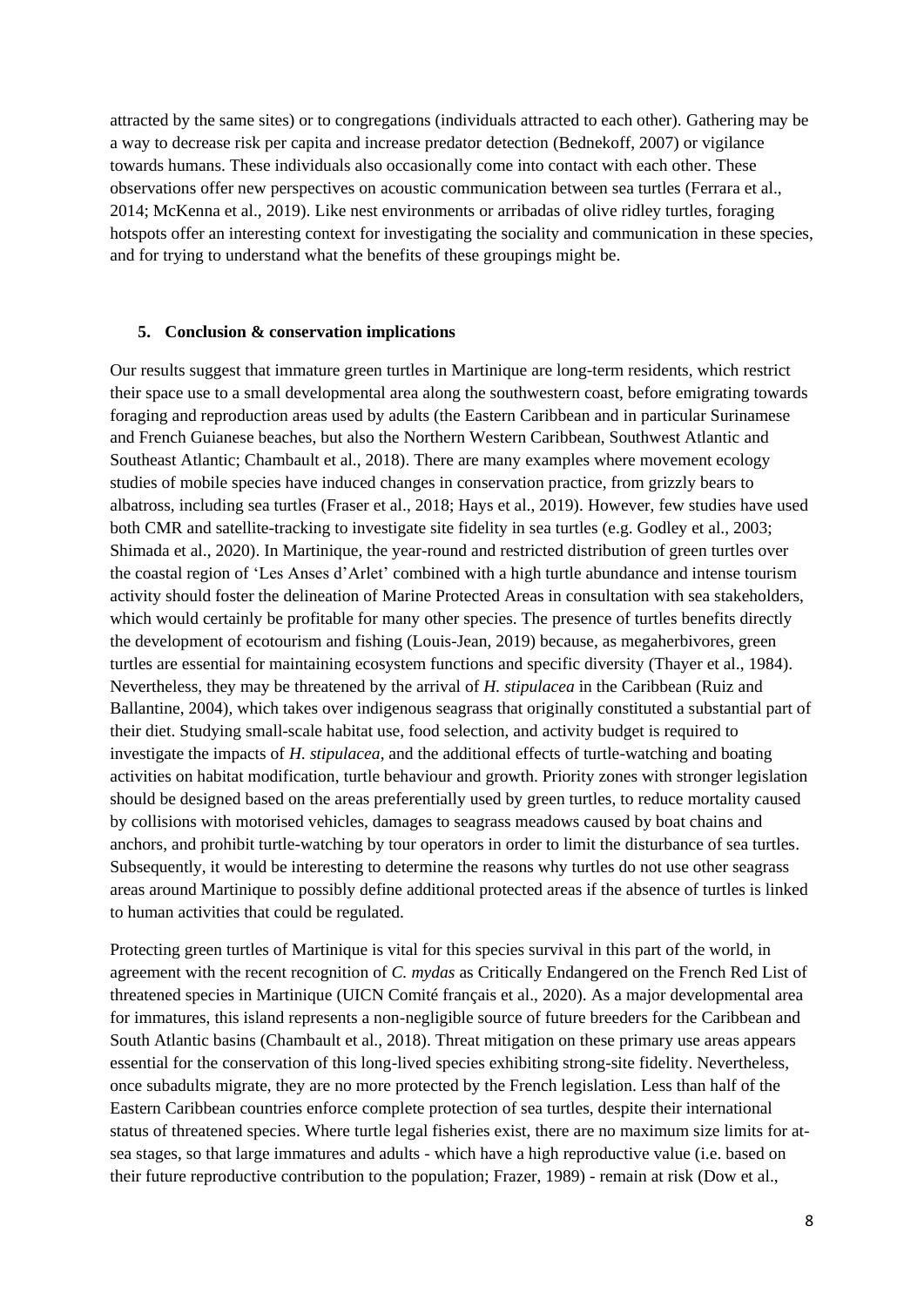attracted by the same sites) or to congregations (individuals attracted to each other). Gathering may be a way to decrease risk per capita and increase predator detection (Bednekoff, 2007) or vigilance towards humans. These individuals also occasionally come into contact with each other. These observations offer new perspectives on acoustic communication between sea turtles (Ferrara et al., 2014; McKenna et al., 2019). Like nest environments or arribadas of olive ridley turtles, foraging hotspots offer an interesting context for investigating the sociality and communication in these species, and for trying to understand what the benefits of these groupings might be.

#### **5. Conclusion & conservation implications**

Our results suggest that immature green turtles in Martinique are long-term residents, which restrict their space use to a small developmental area along the southwestern coast, before emigrating towards foraging and reproduction areas used by adults (the Eastern Caribbean and in particular Surinamese and French Guianese beaches, but also the Northern Western Caribbean, Southwest Atlantic and Southeast Atlantic; Chambault et al., 2018). There are many examples where movement ecology studies of mobile species have induced changes in conservation practice, from grizzly bears to albatross, including sea turtles (Fraser et al., 2018; Hays et al., 2019). However, few studies have used both CMR and satellite-tracking to investigate site fidelity in sea turtles (e.g. Godley et al., 2003; Shimada et al., 2020). In Martinique, the year-round and restricted distribution of green turtles over the coastal region of 'Les Anses d'Arlet' combined with a high turtle abundance and intense tourism activity should foster the delineation of Marine Protected Areas in consultation with sea stakeholders, which would certainly be profitable for many other species. The presence of turtles benefits directly the development of ecotourism and fishing (Louis-Jean, 2019) because, as megaherbivores, green turtles are essential for maintaining ecosystem functions and specific diversity (Thayer et al., 1984). Nevertheless, they may be threatened by the arrival of *H. stipulacea* in the Caribbean (Ruiz and Ballantine, 2004)*,* which takes over indigenous seagrass that originally constituted a substantial part of their diet. Studying small-scale habitat use, food selection, and activity budget is required to investigate the impacts of *H. stipulacea*, and the additional effects of turtle-watching and boating activities on habitat modification, turtle behaviour and growth. Priority zones with stronger legislation should be designed based on the areas preferentially used by green turtles, to reduce mortality caused by collisions with motorised vehicles, damages to seagrass meadows caused by boat chains and anchors, and prohibit turtle-watching by tour operators in order to limit the disturbance of sea turtles. Subsequently, it would be interesting to determine the reasons why turtles do not use other seagrass areas around Martinique to possibly define additional protected areas if the absence of turtles is linked to human activities that could be regulated.

Protecting green turtles of Martinique is vital for this species survival in this part of the world, in agreement with the recent recognition of *C. mydas* as Critically Endangered on the French Red List of threatened species in Martinique (UICN Comité français et al., 2020). As a major developmental area for immatures, this island represents a non-negligible source of future breeders for the Caribbean and South Atlantic basins (Chambault et al., 2018). Threat mitigation on these primary use areas appears essential for the conservation of this long-lived species exhibiting strong-site fidelity. Nevertheless, once subadults migrate, they are no more protected by the French legislation. Less than half of the Eastern Caribbean countries enforce complete protection of sea turtles, despite their international status of threatened species. Where turtle legal fisheries exist, there are no maximum size limits for atsea stages, so that large immatures and adults - which have a high reproductive value (i.e. based on their future reproductive contribution to the population; Frazer, 1989) - remain at risk (Dow et al.,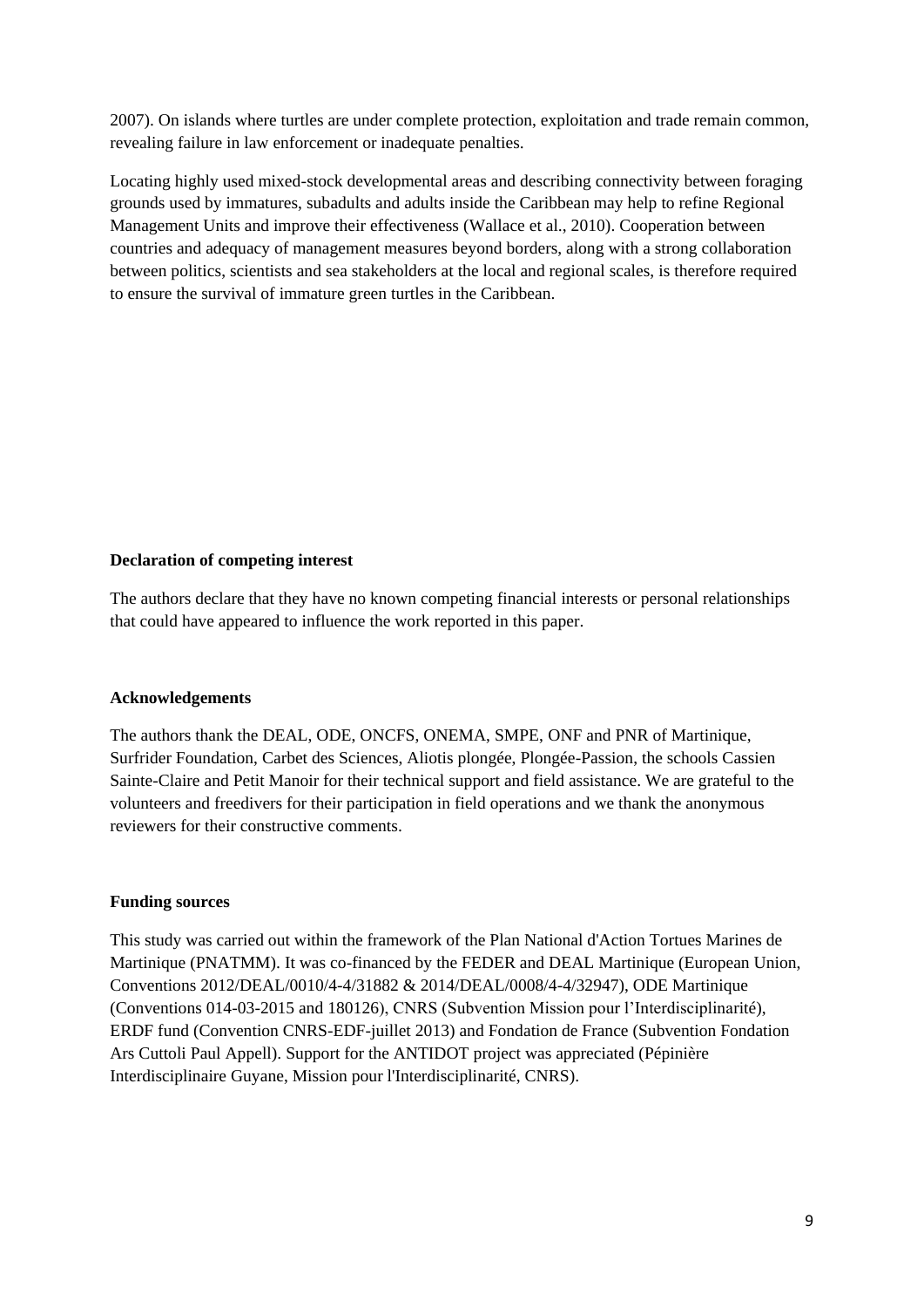2007). On islands where turtles are under complete protection, exploitation and trade remain common, revealing failure in law enforcement or inadequate penalties.

Locating highly used mixed-stock developmental areas and describing connectivity between foraging grounds used by immatures, subadults and adults inside the Caribbean may help to refine Regional Management Units and improve their effectiveness (Wallace et al., 2010). Cooperation between countries and adequacy of management measures beyond borders, along with a strong collaboration between politics, scientists and sea stakeholders at the local and regional scales, is therefore required to ensure the survival of immature green turtles in the Caribbean.

#### **Declaration of competing interest**

The authors declare that they have no known competing financial interests or personal relationships that could have appeared to influence the work reported in this paper.

#### **Acknowledgements**

The authors thank the DEAL, ODE, ONCFS, ONEMA, SMPE, ONF and PNR of Martinique, Surfrider Foundation, Carbet des Sciences, Aliotis plongée, Plongée-Passion, the schools Cassien Sainte-Claire and Petit Manoir for their technical support and field assistance. We are grateful to the volunteers and freedivers for their participation in field operations and we thank the anonymous reviewers for their constructive comments.

#### **Funding sources**

This study was carried out within the framework of the Plan National d'Action Tortues Marines de Martinique (PNATMM). It was co-financed by the FEDER and DEAL Martinique (European Union, Conventions 2012/DEAL/0010/4-4/31882 & 2014/DEAL/0008/4-4/32947), ODE Martinique (Conventions 014-03-2015 and 180126), CNRS (Subvention Mission pour l'Interdisciplinarité), ERDF fund (Convention CNRS-EDF-juillet 2013) and Fondation de France (Subvention Fondation Ars Cuttoli Paul Appell). Support for the ANTIDOT project was appreciated (Pépinière Interdisciplinaire Guyane, Mission pour l'Interdisciplinarité, CNRS).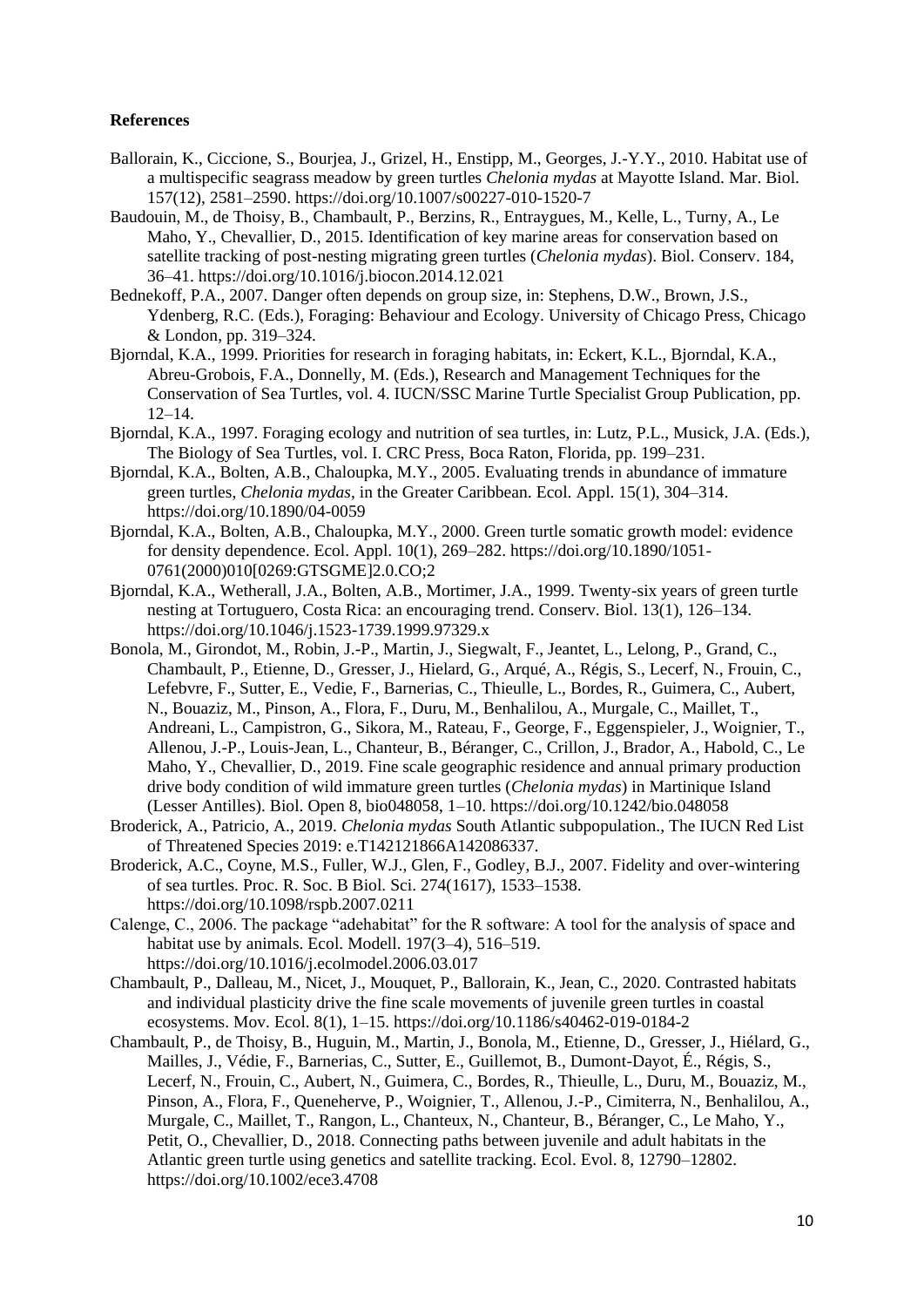#### **References**

- Ballorain, K., Ciccione, S., Bourjea, J., Grizel, H., Enstipp, M., Georges, J.-Y.Y., 2010. Habitat use of a multispecific seagrass meadow by green turtles *Chelonia mydas* at Mayotte Island. Mar. Biol. 157(12), 2581–2590. https://doi.org/10.1007/s00227-010-1520-7
- Baudouin, M., de Thoisy, B., Chambault, P., Berzins, R., Entraygues, M., Kelle, L., Turny, A., Le Maho, Y., Chevallier, D., 2015. Identification of key marine areas for conservation based on satellite tracking of post-nesting migrating green turtles (*Chelonia mydas*). Biol. Conserv. 184, 36–41. https://doi.org/10.1016/j.biocon.2014.12.021
- Bednekoff, P.A., 2007. Danger often depends on group size, in: Stephens, D.W., Brown, J.S., Ydenberg, R.C. (Eds.), Foraging: Behaviour and Ecology. University of Chicago Press, Chicago & London, pp. 319–324.
- Bjorndal, K.A., 1999. Priorities for research in foraging habitats, in: Eckert, K.L., Bjorndal, K.A., Abreu-Grobois, F.A., Donnelly, M. (Eds.), Research and Management Techniques for the Conservation of Sea Turtles, vol. 4. IUCN/SSC Marine Turtle Specialist Group Publication, pp. 12–14.
- Bjorndal, K.A., 1997. Foraging ecology and nutrition of sea turtles, in: Lutz, P.L., Musick, J.A. (Eds.), The Biology of Sea Turtles, vol. I. CRC Press, Boca Raton, Florida, pp. 199–231.
- Bjorndal, K.A., Bolten, A.B., Chaloupka, M.Y., 2005. Evaluating trends in abundance of immature green turtles, *Chelonia mydas*, in the Greater Caribbean. Ecol. Appl. 15(1), 304–314. https://doi.org/10.1890/04-0059
- Bjorndal, K.A., Bolten, A.B., Chaloupka, M.Y., 2000. Green turtle somatic growth model: evidence for density dependence. Ecol. Appl. 10(1), 269–282. https://doi.org/10.1890/1051- 0761(2000)010[0269:GTSGME]2.0.CO;2
- Bjorndal, K.A., Wetherall, J.A., Bolten, A.B., Mortimer, J.A., 1999. Twenty-six years of green turtle nesting at Tortuguero, Costa Rica: an encouraging trend. Conserv. Biol. 13(1), 126–134. https://doi.org/10.1046/j.1523-1739.1999.97329.x
- Bonola, M., Girondot, M., Robin, J.-P., Martin, J., Siegwalt, F., Jeantet, L., Lelong, P., Grand, C., Chambault, P., Etienne, D., Gresser, J., Hielard, G., Arqué, A., Régis, S., Lecerf, N., Frouin, C., Lefebvre, F., Sutter, E., Vedie, F., Barnerias, C., Thieulle, L., Bordes, R., Guimera, C., Aubert, N., Bouaziz, M., Pinson, A., Flora, F., Duru, M., Benhalilou, A., Murgale, C., Maillet, T., Andreani, L., Campistron, G., Sikora, M., Rateau, F., George, F., Eggenspieler, J., Woignier, T., Allenou, J.-P., Louis-Jean, L., Chanteur, B., Béranger, C., Crillon, J., Brador, A., Habold, C., Le Maho, Y., Chevallier, D., 2019. Fine scale geographic residence and annual primary production drive body condition of wild immature green turtles (*Chelonia mydas*) in Martinique Island (Lesser Antilles). Biol. Open 8, bio048058, 1–10. https://doi.org/10.1242/bio.048058
- Broderick, A., Patricio, A., 2019. *Chelonia mydas* South Atlantic subpopulation., The IUCN Red List of Threatened Species 2019: e.T142121866A142086337.
- Broderick, A.C., Coyne, M.S., Fuller, W.J., Glen, F., Godley, B.J., 2007. Fidelity and over-wintering of sea turtles. Proc. R. Soc. B Biol. Sci. 274(1617), 1533–1538. https://doi.org/10.1098/rspb.2007.0211
- Calenge, C., 2006. The package "adehabitat" for the R software: A tool for the analysis of space and habitat use by animals. Ecol. Modell. 197(3–4), 516–519. https://doi.org/10.1016/j.ecolmodel.2006.03.017
- Chambault, P., Dalleau, M., Nicet, J., Mouquet, P., Ballorain, K., Jean, C., 2020. Contrasted habitats and individual plasticity drive the fine scale movements of juvenile green turtles in coastal ecosystems. Mov. Ecol. 8(1), 1–15. https://doi.org/10.1186/s40462-019-0184-2
- Chambault, P., de Thoisy, B., Huguin, M., Martin, J., Bonola, M., Etienne, D., Gresser, J., Hiélard, G., Mailles, J., Védie, F., Barnerias, C., Sutter, E., Guillemot, B., Dumont-Dayot, É., Régis, S., Lecerf, N., Frouin, C., Aubert, N., Guimera, C., Bordes, R., Thieulle, L., Duru, M., Bouaziz, M., Pinson, A., Flora, F., Queneherve, P., Woignier, T., Allenou, J.-P., Cimiterra, N., Benhalilou, A., Murgale, C., Maillet, T., Rangon, L., Chanteux, N., Chanteur, B., Béranger, C., Le Maho, Y., Petit, O., Chevallier, D., 2018. Connecting paths between juvenile and adult habitats in the Atlantic green turtle using genetics and satellite tracking. Ecol. Evol. 8, 12790–12802. https://doi.org/10.1002/ece3.4708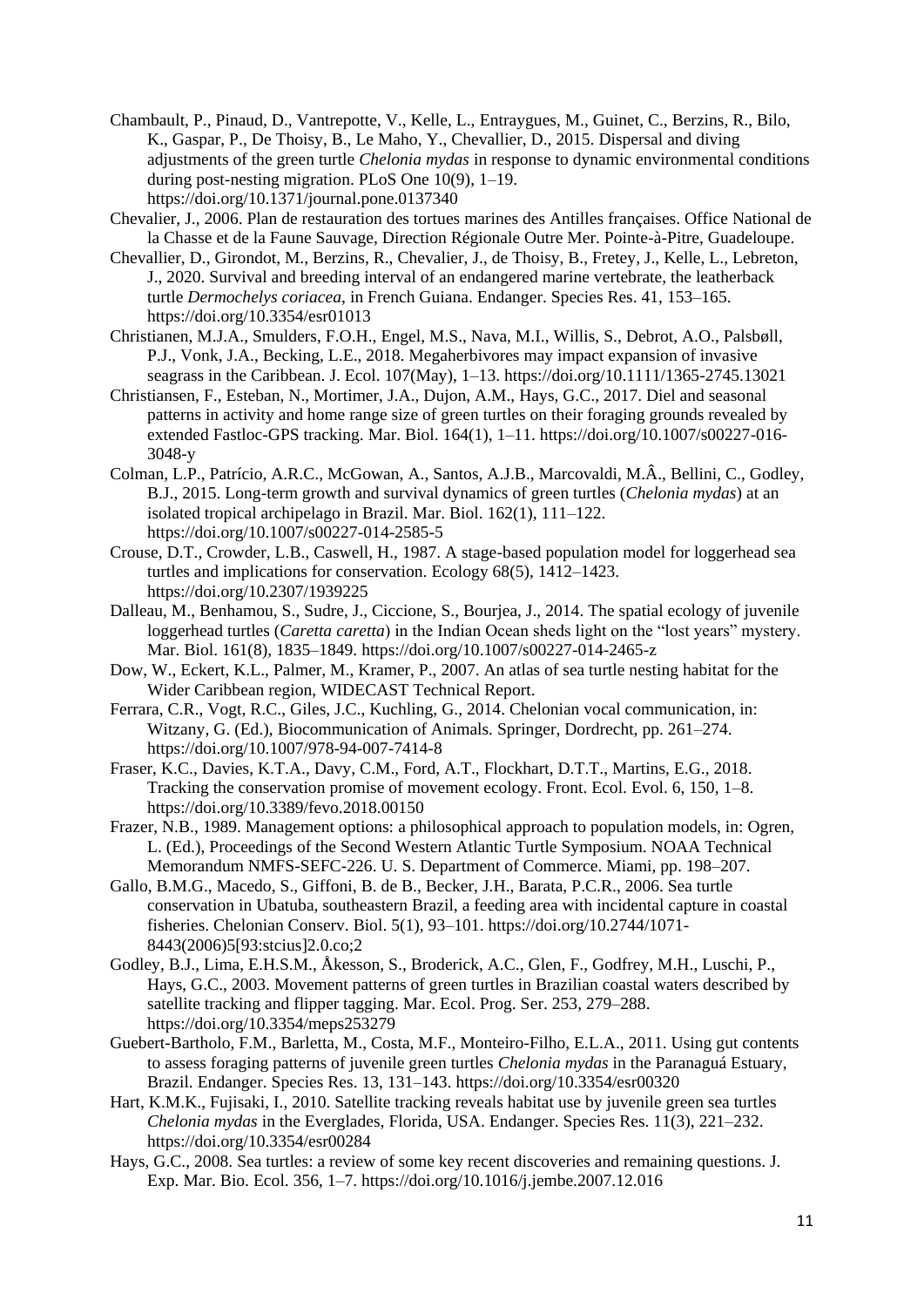- Chambault, P., Pinaud, D., Vantrepotte, V., Kelle, L., Entraygues, M., Guinet, C., Berzins, R., Bilo, K., Gaspar, P., De Thoisy, B., Le Maho, Y., Chevallier, D., 2015. Dispersal and diving adjustments of the green turtle *Chelonia mydas* in response to dynamic environmental conditions during post-nesting migration. PLoS One 10(9), 1–19. https://doi.org/10.1371/journal.pone.0137340
- Chevalier, J., 2006. Plan de restauration des tortues marines des Antilles françaises. Office National de la Chasse et de la Faune Sauvage, Direction Régionale Outre Mer. Pointe-à-Pitre, Guadeloupe.
- Chevallier, D., Girondot, M., Berzins, R., Chevalier, J., de Thoisy, B., Fretey, J., Kelle, L., Lebreton, J., 2020. Survival and breeding interval of an endangered marine vertebrate, the leatherback turtle *Dermochelys coriacea*, in French Guiana. Endanger. Species Res. 41, 153–165. https://doi.org/10.3354/esr01013
- Christianen, M.J.A., Smulders, F.O.H., Engel, M.S., Nava, M.I., Willis, S., Debrot, A.O., Palsbøll, P.J., Vonk, J.A., Becking, L.E., 2018. Megaherbivores may impact expansion of invasive seagrass in the Caribbean. J. Ecol. 107(May), 1–13. https://doi.org/10.1111/1365-2745.13021
- Christiansen, F., Esteban, N., Mortimer, J.A., Dujon, A.M., Hays, G.C., 2017. Diel and seasonal patterns in activity and home range size of green turtles on their foraging grounds revealed by extended Fastloc-GPS tracking. Mar. Biol. 164(1), 1–11. https://doi.org/10.1007/s00227-016- 3048-y
- Colman, L.P., Patrício, A.R.C., McGowan, A., Santos, A.J.B., Marcovaldi, M.Â., Bellini, C., Godley, B.J., 2015. Long-term growth and survival dynamics of green turtles (*Chelonia mydas*) at an isolated tropical archipelago in Brazil. Mar. Biol. 162(1), 111–122. https://doi.org/10.1007/s00227-014-2585-5
- Crouse, D.T., Crowder, L.B., Caswell, H., 1987. A stage-based population model for loggerhead sea turtles and implications for conservation. Ecology 68(5), 1412–1423. https://doi.org/10.2307/1939225
- Dalleau, M., Benhamou, S., Sudre, J., Ciccione, S., Bourjea, J., 2014. The spatial ecology of juvenile loggerhead turtles (*Caretta caretta*) in the Indian Ocean sheds light on the "lost years" mystery. Mar. Biol. 161(8), 1835–1849. https://doi.org/10.1007/s00227-014-2465-z
- Dow, W., Eckert, K.L., Palmer, M., Kramer, P., 2007. An atlas of sea turtle nesting habitat for the Wider Caribbean region, WIDECAST Technical Report.
- Ferrara, C.R., Vogt, R.C., Giles, J.C., Kuchling, G., 2014. Chelonian vocal communication, in: Witzany, G. (Ed.), Biocommunication of Animals. Springer, Dordrecht, pp. 261–274. https://doi.org/10.1007/978-94-007-7414-8
- Fraser, K.C., Davies, K.T.A., Davy, C.M., Ford, A.T., Flockhart, D.T.T., Martins, E.G., 2018. Tracking the conservation promise of movement ecology. Front. Ecol. Evol. 6, 150, 1–8. https://doi.org/10.3389/fevo.2018.00150
- Frazer, N.B., 1989. Management options: a philosophical approach to population models, in: Ogren, L. (Ed.), Proceedings of the Second Western Atlantic Turtle Symposium. NOAA Technical Memorandum NMFS-SEFC-226. U. S. Department of Commerce. Miami, pp. 198–207.
- Gallo, B.M.G., Macedo, S., Giffoni, B. de B., Becker, J.H., Barata, P.C.R., 2006. Sea turtle conservation in Ubatuba, southeastern Brazil, a feeding area with incidental capture in coastal fisheries. Chelonian Conserv. Biol. 5(1), 93–101. https://doi.org/10.2744/1071- 8443(2006)5[93:stcius]2.0.co;2
- Godley, B.J., Lima, E.H.S.M., Åkesson, S., Broderick, A.C., Glen, F., Godfrey, M.H., Luschi, P., Hays, G.C., 2003. Movement patterns of green turtles in Brazilian coastal waters described by satellite tracking and flipper tagging. Mar. Ecol. Prog. Ser. 253, 279–288. https://doi.org/10.3354/meps253279
- Guebert-Bartholo, F.M., Barletta, M., Costa, M.F., Monteiro-Filho, E.L.A., 2011. Using gut contents to assess foraging patterns of juvenile green turtles *Chelonia mydas* in the Paranaguá Estuary, Brazil. Endanger. Species Res. 13, 131–143. https://doi.org/10.3354/esr00320
- Hart, K.M.K., Fujisaki, I., 2010. Satellite tracking reveals habitat use by juvenile green sea turtles *Chelonia mydas* in the Everglades, Florida, USA. Endanger. Species Res. 11(3), 221–232. https://doi.org/10.3354/esr00284
- Hays, G.C., 2008. Sea turtles: a review of some key recent discoveries and remaining questions. J. Exp. Mar. Bio. Ecol. 356, 1–7. https://doi.org/10.1016/j.jembe.2007.12.016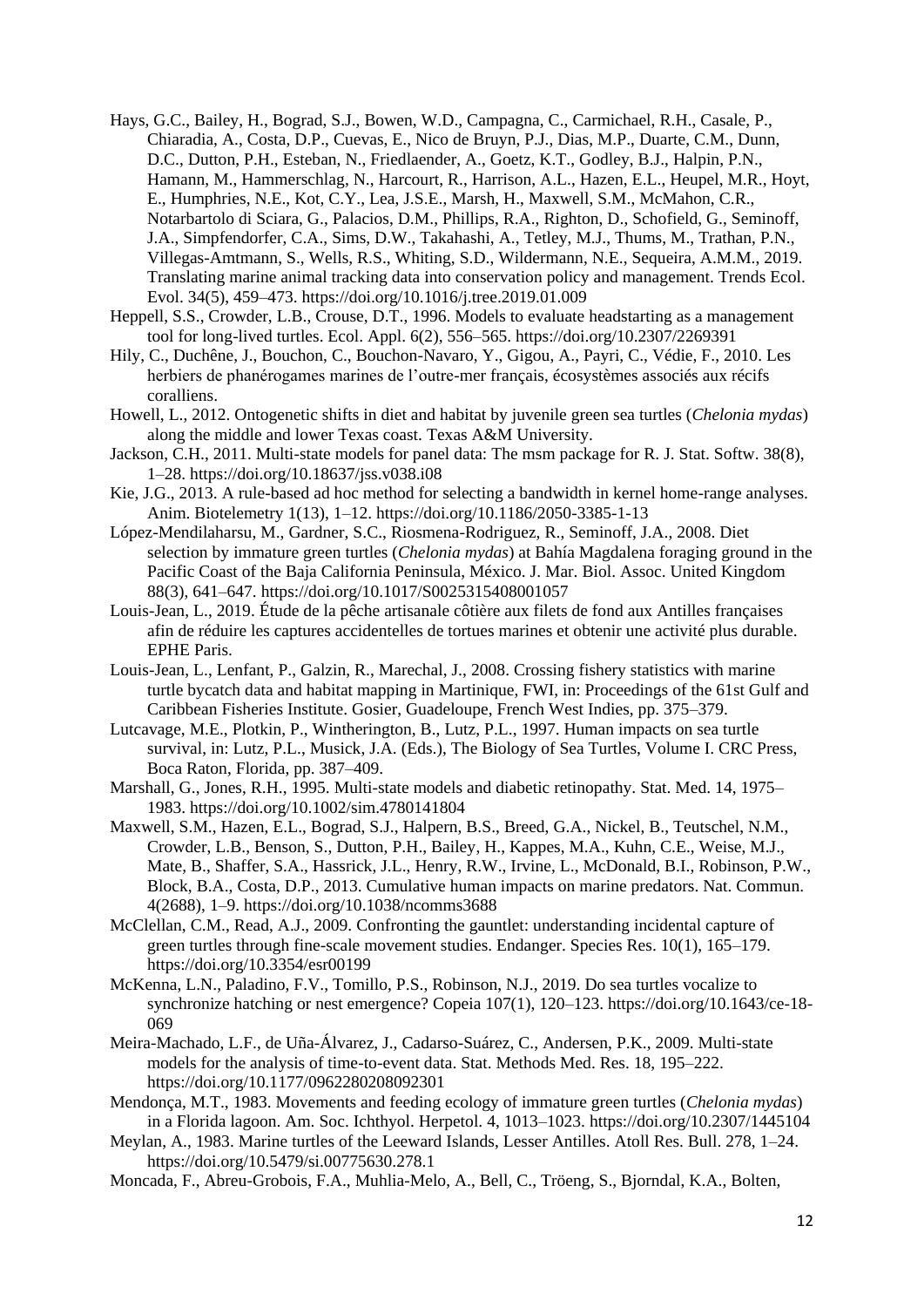- Hays, G.C., Bailey, H., Bograd, S.J., Bowen, W.D., Campagna, C., Carmichael, R.H., Casale, P., Chiaradia, A., Costa, D.P., Cuevas, E., Nico de Bruyn, P.J., Dias, M.P., Duarte, C.M., Dunn, D.C., Dutton, P.H., Esteban, N., Friedlaender, A., Goetz, K.T., Godley, B.J., Halpin, P.N., Hamann, M., Hammerschlag, N., Harcourt, R., Harrison, A.L., Hazen, E.L., Heupel, M.R., Hoyt, E., Humphries, N.E., Kot, C.Y., Lea, J.S.E., Marsh, H., Maxwell, S.M., McMahon, C.R., Notarbartolo di Sciara, G., Palacios, D.M., Phillips, R.A., Righton, D., Schofield, G., Seminoff, J.A., Simpfendorfer, C.A., Sims, D.W., Takahashi, A., Tetley, M.J., Thums, M., Trathan, P.N., Villegas-Amtmann, S., Wells, R.S., Whiting, S.D., Wildermann, N.E., Sequeira, A.M.M., 2019. Translating marine animal tracking data into conservation policy and management. Trends Ecol. Evol. 34(5), 459–473. https://doi.org/10.1016/j.tree.2019.01.009
- Heppell, S.S., Crowder, L.B., Crouse, D.T., 1996. Models to evaluate headstarting as a management tool for long-lived turtles. Ecol. Appl. 6(2), 556–565. https://doi.org/10.2307/2269391
- Hily, C., Duchêne, J., Bouchon, C., Bouchon-Navaro, Y., Gigou, A., Payri, C., Védie, F., 2010. Les herbiers de phanérogames marines de l'outre-mer français, écosystèmes associés aux récifs coralliens.
- Howell, L., 2012. Ontogenetic shifts in diet and habitat by juvenile green sea turtles (*Chelonia mydas*) along the middle and lower Texas coast. Texas A&M University.
- Jackson, C.H., 2011. Multi-state models for panel data: The msm package for R. J. Stat. Softw. 38(8), 1–28. https://doi.org/10.18637/jss.v038.i08
- Kie, J.G., 2013. A rule-based ad hoc method for selecting a bandwidth in kernel home-range analyses. Anim. Biotelemetry 1(13), 1–12. https://doi.org/10.1186/2050-3385-1-13
- López-Mendilaharsu, M., Gardner, S.C., Riosmena-Rodriguez, R., Seminoff, J.A., 2008. Diet selection by immature green turtles (*Chelonia mydas*) at Bahía Magdalena foraging ground in the Pacific Coast of the Baja California Peninsula, México. J. Mar. Biol. Assoc. United Kingdom 88(3), 641–647. https://doi.org/10.1017/S0025315408001057
- Louis-Jean, L., 2019. Étude de la pêche artisanale côtière aux filets de fond aux Antilles françaises afin de réduire les captures accidentelles de tortues marines et obtenir une activité plus durable. EPHE Paris.
- Louis-Jean, L., Lenfant, P., Galzin, R., Marechal, J., 2008. Crossing fishery statistics with marine turtle bycatch data and habitat mapping in Martinique, FWI, in: Proceedings of the 61st Gulf and Caribbean Fisheries Institute. Gosier, Guadeloupe, French West Indies, pp. 375–379.
- Lutcavage, M.E., Plotkin, P., Wintherington, B., Lutz, P.L., 1997. Human impacts on sea turtle survival, in: Lutz, P.L., Musick, J.A. (Eds.), The Biology of Sea Turtles, Volume I. CRC Press, Boca Raton, Florida, pp. 387–409.
- Marshall, G., Jones, R.H., 1995. Multi-state models and diabetic retinopathy. Stat. Med. 14, 1975– 1983. https://doi.org/10.1002/sim.4780141804
- Maxwell, S.M., Hazen, E.L., Bograd, S.J., Halpern, B.S., Breed, G.A., Nickel, B., Teutschel, N.M., Crowder, L.B., Benson, S., Dutton, P.H., Bailey, H., Kappes, M.A., Kuhn, C.E., Weise, M.J., Mate, B., Shaffer, S.A., Hassrick, J.L., Henry, R.W., Irvine, L., McDonald, B.I., Robinson, P.W., Block, B.A., Costa, D.P., 2013. Cumulative human impacts on marine predators. Nat. Commun. 4(2688), 1–9. https://doi.org/10.1038/ncomms3688
- McClellan, C.M., Read, A.J., 2009. Confronting the gauntlet: understanding incidental capture of green turtles through fine-scale movement studies. Endanger. Species Res. 10(1), 165–179. https://doi.org/10.3354/esr00199
- McKenna, L.N., Paladino, F.V., Tomillo, P.S., Robinson, N.J., 2019. Do sea turtles vocalize to synchronize hatching or nest emergence? Copeia 107(1), 120–123. https://doi.org/10.1643/ce-18- 069
- Meira-Machado, L.F., de Uña-Álvarez, J., Cadarso-Suárez, C., Andersen, P.K., 2009. Multi-state models for the analysis of time-to-event data. Stat. Methods Med. Res. 18, 195–222. https://doi.org/10.1177/0962280208092301
- Mendonça, M.T., 1983. Movements and feeding ecology of immature green turtles (*Chelonia mydas*) in a Florida lagoon. Am. Soc. Ichthyol. Herpetol. 4, 1013–1023. https://doi.org/10.2307/1445104
- Meylan, A., 1983. Marine turtles of the Leeward Islands, Lesser Antilles. Atoll Res. Bull. 278, 1–24. https://doi.org/10.5479/si.00775630.278.1
- Moncada, F., Abreu-Grobois, F.A., Muhlia-Melo, A., Bell, C., Tröeng, S., Bjorndal, K.A., Bolten,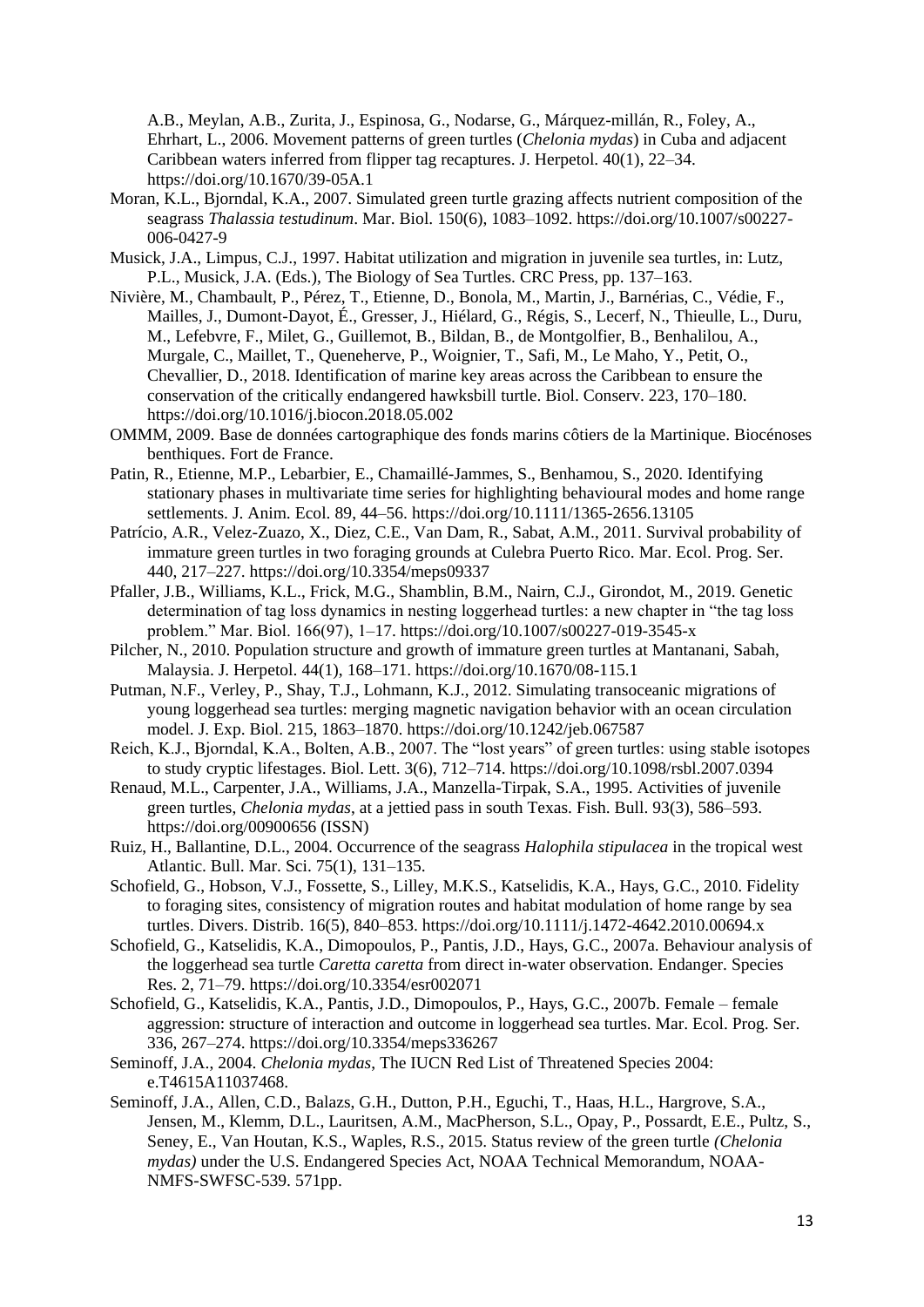A.B., Meylan, A.B., Zurita, J., Espinosa, G., Nodarse, G., Márquez-millán, R., Foley, A., Ehrhart, L., 2006. Movement patterns of green turtles (*Chelonia mydas*) in Cuba and adjacent Caribbean waters inferred from flipper tag recaptures. J. Herpetol. 40(1), 22–34. https://doi.org/10.1670/39-05A.1

- Moran, K.L., Bjorndal, K.A., 2007. Simulated green turtle grazing affects nutrient composition of the seagrass *Thalassia testudinum*. Mar. Biol. 150(6), 1083–1092. https://doi.org/10.1007/s00227- 006-0427-9
- Musick, J.A., Limpus, C.J., 1997. Habitat utilization and migration in juvenile sea turtles, in: Lutz, P.L., Musick, J.A. (Eds.), The Biology of Sea Turtles. CRC Press, pp. 137–163.
- Nivière, M., Chambault, P., Pérez, T., Etienne, D., Bonola, M., Martin, J., Barnérias, C., Védie, F., Mailles, J., Dumont-Dayot, É., Gresser, J., Hiélard, G., Régis, S., Lecerf, N., Thieulle, L., Duru, M., Lefebvre, F., Milet, G., Guillemot, B., Bildan, B., de Montgolfier, B., Benhalilou, A., Murgale, C., Maillet, T., Queneherve, P., Woignier, T., Safi, M., Le Maho, Y., Petit, O., Chevallier, D., 2018. Identification of marine key areas across the Caribbean to ensure the conservation of the critically endangered hawksbill turtle. Biol. Conserv. 223, 170–180. https://doi.org/10.1016/j.biocon.2018.05.002
- OMMM, 2009. Base de données cartographique des fonds marins côtiers de la Martinique. Biocénoses benthiques. Fort de France.
- Patin, R., Etienne, M.P., Lebarbier, E., Chamaillé-Jammes, S., Benhamou, S., 2020. Identifying stationary phases in multivariate time series for highlighting behavioural modes and home range settlements. J. Anim. Ecol. 89, 44–56. https://doi.org/10.1111/1365-2656.13105
- Patrício, A.R., Velez-Zuazo, X., Diez, C.E., Van Dam, R., Sabat, A.M., 2011. Survival probability of immature green turtles in two foraging grounds at Culebra Puerto Rico. Mar. Ecol. Prog. Ser. 440, 217–227. https://doi.org/10.3354/meps09337
- Pfaller, J.B., Williams, K.L., Frick, M.G., Shamblin, B.M., Nairn, C.J., Girondot, M., 2019. Genetic determination of tag loss dynamics in nesting loggerhead turtles: a new chapter in "the tag loss problem." Mar. Biol. 166(97), 1–17. https://doi.org/10.1007/s00227-019-3545-x
- Pilcher, N., 2010. Population structure and growth of immature green turtles at Mantanani, Sabah, Malaysia. J. Herpetol. 44(1), 168–171. https://doi.org/10.1670/08-115.1
- Putman, N.F., Verley, P., Shay, T.J., Lohmann, K.J., 2012. Simulating transoceanic migrations of young loggerhead sea turtles: merging magnetic navigation behavior with an ocean circulation model. J. Exp. Biol. 215, 1863–1870. https://doi.org/10.1242/jeb.067587
- Reich, K.J., Bjorndal, K.A., Bolten, A.B., 2007. The "lost years" of green turtles: using stable isotopes to study cryptic lifestages. Biol. Lett. 3(6), 712–714. https://doi.org/10.1098/rsbl.2007.0394
- Renaud, M.L., Carpenter, J.A., Williams, J.A., Manzella-Tirpak, S.A., 1995. Activities of juvenile green turtles, *Chelonia mydas*, at a jettied pass in south Texas. Fish. Bull. 93(3), 586–593. https://doi.org/00900656 (ISSN)
- Ruiz, H., Ballantine, D.L., 2004. Occurrence of the seagrass *Halophila stipulacea* in the tropical west Atlantic. Bull. Mar. Sci. 75(1), 131–135.
- Schofield, G., Hobson, V.J., Fossette, S., Lilley, M.K.S., Katselidis, K.A., Hays, G.C., 2010. Fidelity to foraging sites, consistency of migration routes and habitat modulation of home range by sea turtles. Divers. Distrib. 16(5), 840–853. https://doi.org/10.1111/j.1472-4642.2010.00694.x
- Schofield, G., Katselidis, K.A., Dimopoulos, P., Pantis, J.D., Hays, G.C., 2007a. Behaviour analysis of the loggerhead sea turtle *Caretta caretta* from direct in-water observation. Endanger. Species Res. 2, 71–79. https://doi.org/10.3354/esr002071
- Schofield, G., Katselidis, K.A., Pantis, J.D., Dimopoulos, P., Hays, G.C., 2007b. Female female aggression: structure of interaction and outcome in loggerhead sea turtles. Mar. Ecol. Prog. Ser. 336, 267–274. https://doi.org/10.3354/meps336267
- Seminoff, J.A., 2004. *Chelonia mydas*, The IUCN Red List of Threatened Species 2004: e.T4615A11037468.
- Seminoff, J.A., Allen, C.D., Balazs, G.H., Dutton, P.H., Eguchi, T., Haas, H.L., Hargrove, S.A., Jensen, M., Klemm, D.L., Lauritsen, A.M., MacPherson, S.L., Opay, P., Possardt, E.E., Pultz, S., Seney, E., Van Houtan, K.S., Waples, R.S., 2015. Status review of the green turtle *(Chelonia mydas)* under the U.S. Endangered Species Act, NOAA Technical Memorandum, NOAA-NMFS-SWFSC-539. 571pp.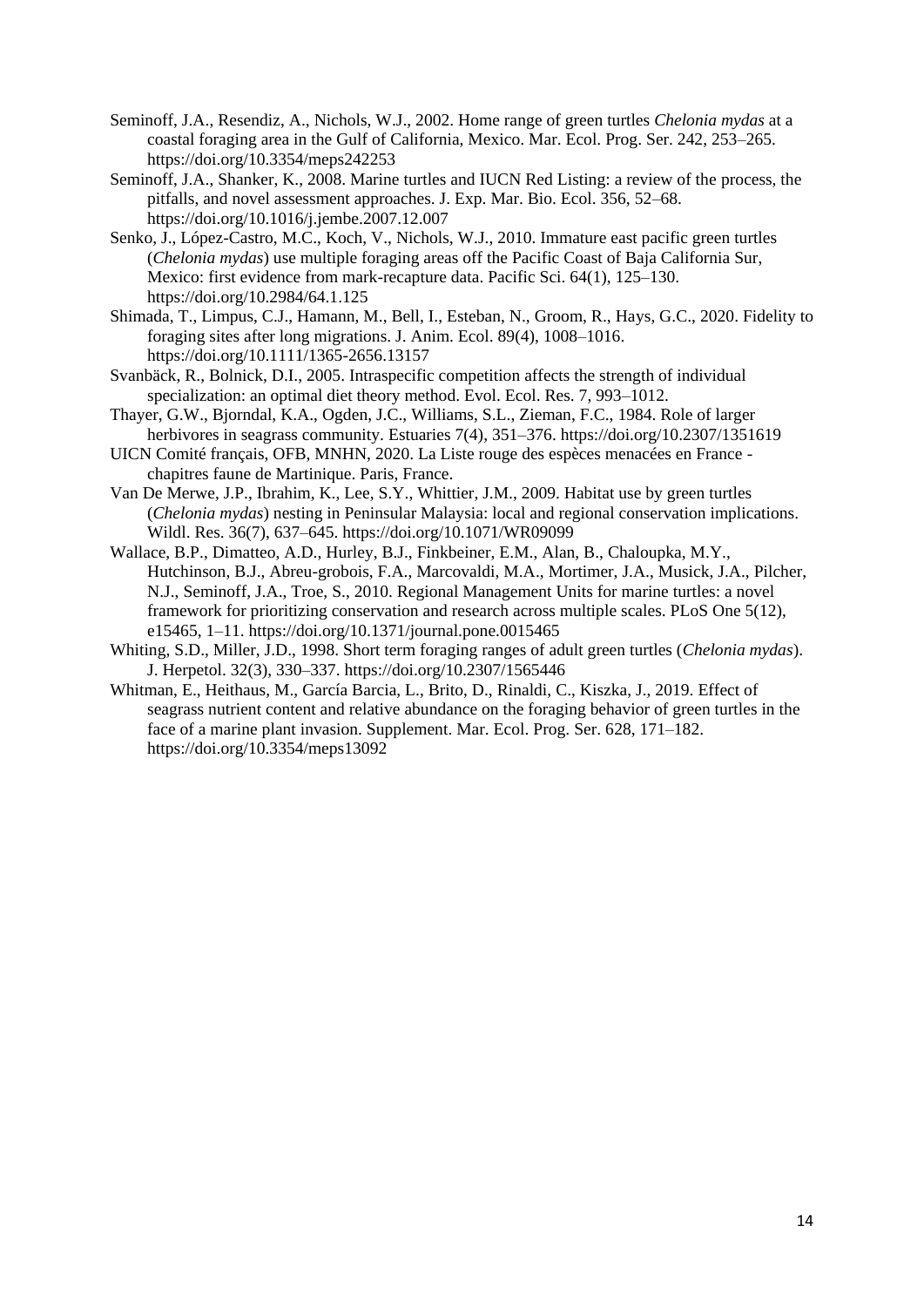- Seminoff, J.A., Resendiz, A., Nichols, W.J., 2002. Home range of green turtles *Chelonia mydas* at a coastal foraging area in the Gulf of California, Mexico. Mar. Ecol. Prog. Ser. 242, 253–265. https://doi.org/10.3354/meps242253
- Seminoff, J.A., Shanker, K., 2008. Marine turtles and IUCN Red Listing: a review of the process, the pitfalls, and novel assessment approaches. J. Exp. Mar. Bio. Ecol. 356, 52–68. https://doi.org/10.1016/j.jembe.2007.12.007
- Senko, J., López-Castro, M.C., Koch, V., Nichols, W.J., 2010. Immature east pacific green turtles (*Chelonia mydas*) use multiple foraging areas off the Pacific Coast of Baja California Sur, Mexico: first evidence from mark-recapture data. Pacific Sci. 64(1), 125–130. https://doi.org/10.2984/64.1.125
- Shimada, T., Limpus, C.J., Hamann, M., Bell, I., Esteban, N., Groom, R., Hays, G.C., 2020. Fidelity to foraging sites after long migrations. J. Anim. Ecol. 89(4), 1008–1016. https://doi.org/10.1111/1365-2656.13157
- Svanbäck, R., Bolnick, D.I., 2005. Intraspecific competition affects the strength of individual specialization: an optimal diet theory method. Evol. Ecol. Res. 7, 993–1012.
- Thayer, G.W., Bjorndal, K.A., Ogden, J.C., Williams, S.L., Zieman, F.C., 1984. Role of larger herbivores in seagrass community. Estuaries 7(4), 351–376. https://doi.org/10.2307/1351619
- UICN Comité français, OFB, MNHN, 2020. La Liste rouge des espèces menacées en France chapitres faune de Martinique. Paris, France.
- Van De Merwe, J.P., Ibrahim, K., Lee, S.Y., Whittier, J.M., 2009. Habitat use by green turtles (*Chelonia mydas*) nesting in Peninsular Malaysia: local and regional conservation implications. Wildl. Res. 36(7), 637–645. https://doi.org/10.1071/WR09099
- Wallace, B.P., Dimatteo, A.D., Hurley, B.J., Finkbeiner, E.M., Alan, B., Chaloupka, M.Y., Hutchinson, B.J., Abreu-grobois, F.A., Marcovaldi, M.A., Mortimer, J.A., Musick, J.A., Pilcher, N.J., Seminoff, J.A., Troe, S., 2010. Regional Management Units for marine turtles: a novel framework for prioritizing conservation and research across multiple scales. PLoS One 5(12), e15465, 1–11. https://doi.org/10.1371/journal.pone.0015465
- Whiting, S.D., Miller, J.D., 1998. Short term foraging ranges of adult green turtles (*Chelonia mydas*). J. Herpetol. 32(3), 330–337. https://doi.org/10.2307/1565446
- Whitman, E., Heithaus, M., García Barcia, L., Brito, D., Rinaldi, C., Kiszka, J., 2019. Effect of seagrass nutrient content and relative abundance on the foraging behavior of green turtles in the face of a marine plant invasion. Supplement. Mar. Ecol. Prog. Ser. 628, 171–182. https://doi.org/10.3354/meps13092